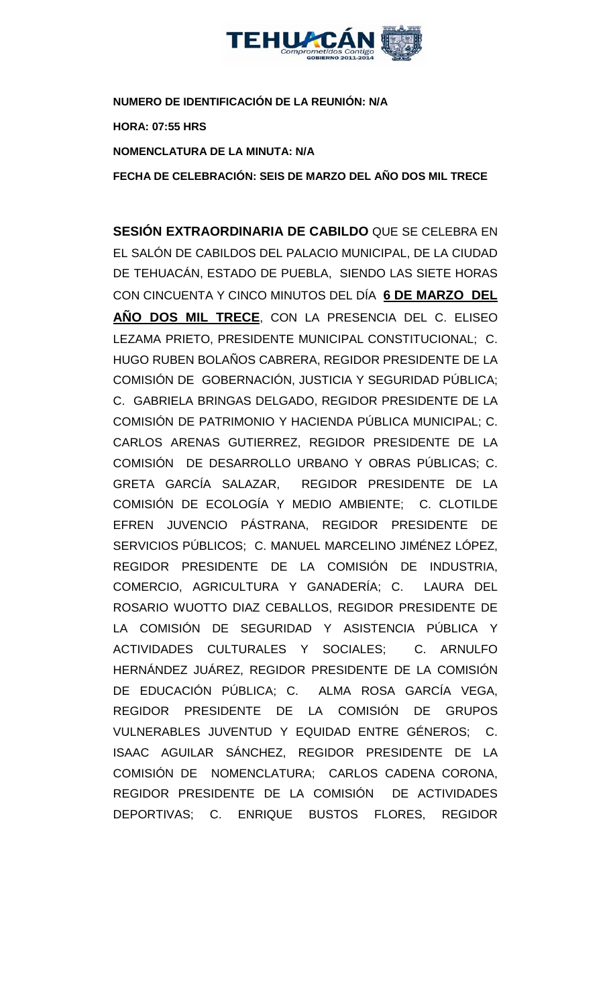

**NUMERO DE IDENTIFICACIÓN DE LA REUNIÓN: N/A HORA: 07:55 HRS NOMENCLATURA DE LA MINUTA: N/A**

**FECHA DE CELEBRACIÓN: SEIS DE MARZO DEL AÑO DOS MIL TRECE** 

**SESIÓN EXTRAORDINARIA DE CABILDO** QUE SE CELEBRA EN EL SALÓN DE CABILDOS DEL PALACIO MUNICIPAL, DE LA CIUDAD DE TEHUACÁN, ESTADO DE PUEBLA, SIENDO LAS SIETE HORAS CON CINCUENTA Y CINCO MINUTOS DEL DÍA **6 DE MARZO DEL AÑO DOS MIL TRECE**, CON LA PRESENCIA DEL C. ELISEO LEZAMA PRIETO, PRESIDENTE MUNICIPAL CONSTITUCIONAL; C. HUGO RUBEN BOLAÑOS CABRERA, REGIDOR PRESIDENTE DE LA COMISIÓN DE GOBERNACIÓN, JUSTICIA Y SEGURIDAD PÚBLICA; C. GABRIELA BRINGAS DELGADO, REGIDOR PRESIDENTE DE LA COMISIÓN DE PATRIMONIO Y HACIENDA PÚBLICA MUNICIPAL; C. CARLOS ARENAS GUTIERREZ, REGIDOR PRESIDENTE DE LA COMISIÓN DE DESARROLLO URBANO Y OBRAS PÚBLICAS; C. GRETA GARCÍA SALAZAR, REGIDOR PRESIDENTE DE LA COMISIÓN DE ECOLOGÍA Y MEDIO AMBIENTE; C. CLOTILDE EFREN JUVENCIO PÁSTRANA, REGIDOR PRESIDENTE DE SERVICIOS PÚBLICOS; C. MANUEL MARCELINO JIMÉNEZ LÓPEZ, REGIDOR PRESIDENTE DE LA COMISIÓN DE INDUSTRIA, COMERCIO, AGRICULTURA Y GANADERÍA; C. LAURA DEL ROSARIO WUOTTO DIAZ CEBALLOS, REGIDOR PRESIDENTE DE LA COMISIÓN DE SEGURIDAD Y ASISTENCIA PÚBLICA Y ACTIVIDADES CULTURALES Y SOCIALES; C. ARNULFO HERNÁNDEZ JUÁREZ, REGIDOR PRESIDENTE DE LA COMISIÓN DE EDUCACIÓN PÚBLICA; C. ALMA ROSA GARCÍA VEGA, REGIDOR PRESIDENTE DE LA COMISIÓN DE GRUPOS VULNERABLES JUVENTUD Y EQUIDAD ENTRE GÉNEROS; C. ISAAC AGUILAR SÁNCHEZ, REGIDOR PRESIDENTE DE LA COMISIÓN DE NOMENCLATURA; CARLOS CADENA CORONA, REGIDOR PRESIDENTE DE LA COMISIÓN DE ACTIVIDADES DEPORTIVAS; C. ENRIQUE BUSTOS FLORES, REGIDOR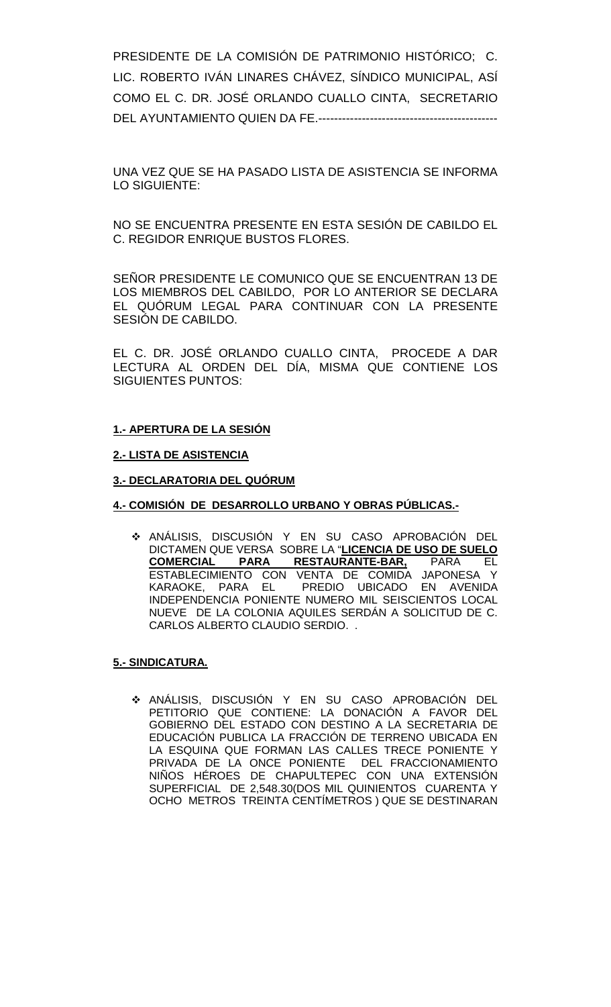PRESIDENTE DE LA COMISIÓN DE PATRIMONIO HISTÓRICO; C. LIC. ROBERTO IVÁN LINARES CHÁVEZ, SÍNDICO MUNICIPAL, ASÍ COMO EL C. DR. JOSÉ ORLANDO CUALLO CINTA, SECRETARIO DEL AYUNTAMIENTO QUIEN DA FE.---------------------------------------------

UNA VEZ QUE SE HA PASADO LISTA DE ASISTENCIA SE INFORMA LO SIGUIENTE:

NO SE ENCUENTRA PRESENTE EN ESTA SESIÓN DE CABILDO EL C. REGIDOR ENRIQUE BUSTOS FLORES.

SEÑOR PRESIDENTE LE COMUNICO QUE SE ENCUENTRAN 13 DE LOS MIEMBROS DEL CABILDO, POR LO ANTERIOR SE DECLARA EL QUÓRUM LEGAL PARA CONTINUAR CON LA PRESENTE SESIÓN DE CABILDO.

EL C. DR. JOSÉ ORLANDO CUALLO CINTA, PROCEDE A DAR LECTURA AL ORDEN DEL DÍA, MISMA QUE CONTIENE LOS SIGUIENTES PUNTOS:

### **1.- APERTURA DE LA SESIÓN**

#### **2.- LISTA DE ASISTENCIA**

#### **3.- DECLARATORIA DEL QUÓRUM**

### **4.- COMISIÓN DE DESARROLLO URBANO Y OBRAS PÚBLICAS.-**

 ANÁLISIS, DISCUSIÓN Y EN SU CASO APROBACIÓN DEL DICTAMEN QUE VERSA SOBRE LA "**LICENCIA DE USO DE SUELO COMERCIAL PARA RESTAURANTE-BAR,** PARA EL ESTABLECIMIENTO CON VENTA DE COMIDA JAPONESA Y KARAOKE, PARA EL PREDIO UBICADO EN AVENIDA INDEPENDENCIA PONIENTE NUMERO MIL SEISCIENTOS LOCAL NUEVE DE LA COLONIA AQUILES SERDÁN A SOLICITUD DE C. CARLOS ALBERTO CLAUDIO SERDIO. .

#### **5.- SINDICATURA.**

 ANÁLISIS, DISCUSIÓN Y EN SU CASO APROBACIÓN DEL PETITORIO QUE CONTIENE: LA DONACIÓN A FAVOR DEL GOBIERNO DEL ESTADO CON DESTINO A LA SECRETARIA DE EDUCACIÓN PUBLICA LA FRACCIÓN DE TERRENO UBICADA EN LA ESQUINA QUE FORMAN LAS CALLES TRECE PONIENTE Y PRIVADA DE LA ONCE PONIENTE DEL FRACCIONAMIENTO NIÑOS HÉROES DE CHAPULTEPEC CON UNA EXTENSIÓN SUPERFICIAL DE 2,548.30(DOS MIL QUINIENTOS CUARENTA Y OCHO METROS TREINTA CENTÍMETROS ) QUE SE DESTINARAN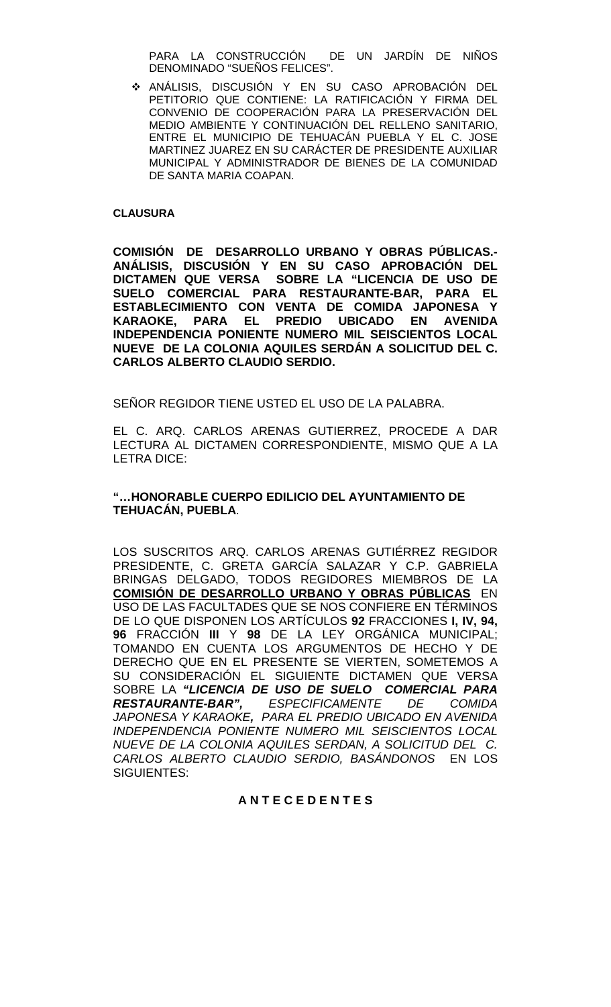PARA LA CONSTRUCCIÓN DE UN JARDÍN DE NIÑOS DENOMINADO "SUEÑOS FELICES".

 ANÁLISIS, DISCUSIÓN Y EN SU CASO APROBACIÓN DEL PETITORIO QUE CONTIENE: LA RATIFICACIÓN Y FIRMA DEL CONVENIO DE COOPERACIÓN PARA LA PRESERVACIÓN DEL MEDIO AMBIENTE Y CONTINUACIÓN DEL RELLENO SANITARIO, ENTRE EL MUNICIPIO DE TEHUACÁN PUEBLA Y EL C. JOSE MARTINEZ JUAREZ EN SU CARÁCTER DE PRESIDENTE AUXILIAR MUNICIPAL Y ADMINISTRADOR DE BIENES DE LA COMUNIDAD DE SANTA MARIA COAPAN.

#### **CLAUSURA**

**COMISIÓN DE DESARROLLO URBANO Y OBRAS PÚBLICAS.- ANÁLISIS, DISCUSIÓN Y EN SU CASO APROBACIÓN DEL DICTAMEN QUE VERSA SOBRE LA "LICENCIA DE USO DE SUELO COMERCIAL PARA RESTAURANTE-BAR, PARA EL ESTABLECIMIENTO CON VENTA DE COMIDA JAPONESA Y KARAOKE, PARA EL PREDIO UBICADO EN AVENIDA INDEPENDENCIA PONIENTE NUMERO MIL SEISCIENTOS LOCAL NUEVE DE LA COLONIA AQUILES SERDÁN A SOLICITUD DEL C. CARLOS ALBERTO CLAUDIO SERDIO.** 

SEÑOR REGIDOR TIENE USTED EL USO DE LA PALABRA.

EL C. ARQ. CARLOS ARENAS GUTIERREZ, PROCEDE A DAR LECTURA AL DICTAMEN CORRESPONDIENTE, MISMO QUE A LA LETRA DICE:

### **"…HONORABLE CUERPO EDILICIO DEL AYUNTAMIENTO DE TEHUACÁN, PUEBLA**.

LOS SUSCRITOS ARQ. CARLOS ARENAS GUTIÉRREZ REGIDOR PRESIDENTE, C. GRETA GARCÍA SALAZAR Y C.P. GABRIELA BRINGAS DELGADO, TODOS REGIDORES MIEMBROS DE LA **COMISIÓN DE DESARROLLO URBANO Y OBRAS PÚBLICAS** EN USO DE LAS FACULTADES QUE SE NOS CONFIERE EN TÉRMINOS DE LO QUE DISPONEN LOS ARTÍCULOS **92** FRACCIONES **I, IV, 94, 96** FRACCIÓN **III** Y **98** DE LA LEY ORGÁNICA MUNICIPAL; TOMANDO EN CUENTA LOS ARGUMENTOS DE HECHO Y DE DERECHO QUE EN EL PRESENTE SE VIERTEN, SOMETEMOS A SU CONSIDERACIÓN EL SIGUIENTE DICTAMEN QUE VERSA SOBRE LA *"LICENCIA DE USO DE SUELO COMERCIAL PARA*   $ESPECIFICAMENTE$  DE COMIDA *JAPONESA Y KARAOKE, PARA EL PREDIO UBICADO EN AVENIDA INDEPENDENCIA PONIENTE NUMERO MIL SEISCIENTOS LOCAL NUEVE DE LA COLONIA AQUILES SERDAN, A SOLICITUD DEL C. CARLOS ALBERTO CLAUDIO SERDIO, BASÁNDONOS* EN LOS SIGUIENTES:

## **A N T E C E D E N T E S**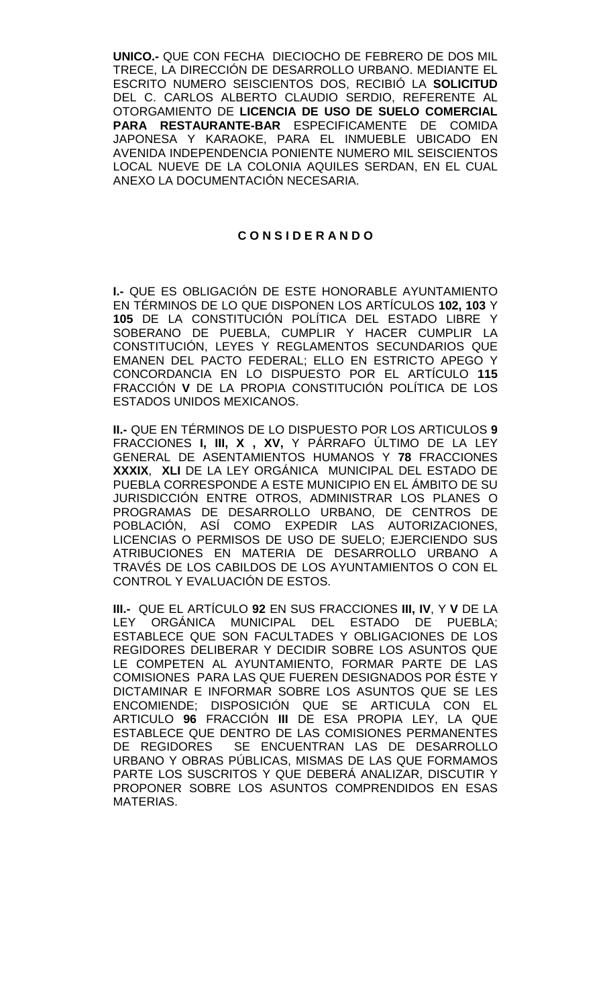**UNICO.-** QUE CON FECHA DIECIOCHO DE FEBRERO DE DOS MIL TRECE, LA DIRECCIÓN DE DESARROLLO URBANO. MEDIANTE EL ESCRITO NUMERO SEISCIENTOS DOS, RECIBIÓ LA **SOLICITUD** DEL C. CARLOS ALBERTO CLAUDIO SERDIO, REFERENTE AL OTORGAMIENTO DE **LICENCIA DE USO DE SUELO COMERCIAL PARA RESTAURANTE-BAR** ESPECIFICAMENTE DE COMIDA JAPONESA Y KARAOKE, PARA EL INMUEBLE UBICADO EN AVENIDA INDEPENDENCIA PONIENTE NUMERO MIL SEISCIENTOS LOCAL NUEVE DE LA COLONIA AQUILES SERDAN, EN EL CUAL ANEXO LA DOCUMENTACIÓN NECESARIA.

#### **C O N S I D E R A N D O**

**I.-** QUE ES OBLIGACIÓN DE ESTE HONORABLE AYUNTAMIENTO EN TÉRMINOS DE LO QUE DISPONEN LOS ARTÍCULOS **102, 103** Y **105** DE LA CONSTITUCIÓN POLÍTICA DEL ESTADO LIBRE Y SOBERANO DE PUEBLA, CUMPLIR Y HACER CUMPLIR LA CONSTITUCIÓN, LEYES Y REGLAMENTOS SECUNDARIOS QUE EMANEN DEL PACTO FEDERAL; ELLO EN ESTRICTO APEGO Y CONCORDANCIA EN LO DISPUESTO POR EL ARTÍCULO **115**  FRACCIÓN **V** DE LA PROPIA CONSTITUCIÓN POLÍTICA DE LOS ESTADOS UNIDOS MEXICANOS.

**II.-** QUE EN TÉRMINOS DE LO DISPUESTO POR LOS ARTICULOS **9**  FRACCIONES **I, III, X , XV,** Y PÁRRAFO ÚLTIMO DE LA LEY GENERAL DE ASENTAMIENTOS HUMANOS Y **78** FRACCIONES **XXXIX**, **XLI** DE LA LEY ORGÁNICA MUNICIPAL DEL ESTADO DE PUEBLA CORRESPONDE A ESTE MUNICIPIO EN EL ÁMBITO DE SU JURISDICCIÓN ENTRE OTROS, ADMINISTRAR LOS PLANES O PROGRAMAS DE DESARROLLO URBANO, DE CENTROS DE POBLACIÓN, ASÍ COMO EXPEDIR LAS AUTORIZACIONES, LICENCIAS O PERMISOS DE USO DE SUELO; EJERCIENDO SUS ATRIBUCIONES EN MATERIA DE DESARROLLO URBANO A TRAVÉS DE LOS CABILDOS DE LOS AYUNTAMIENTOS O CON EL CONTROL Y EVALUACIÓN DE ESTOS.

**III.-** QUE EL ARTÍCULO **92** EN SUS FRACCIONES **III, IV**, Y **V** DE LA LEY ORGÁNICA MUNICIPAL DEL ESTADO DE ESTABLECE QUE SON FACULTADES Y OBLIGACIONES DE LOS REGIDORES DELIBERAR Y DECIDIR SOBRE LOS ASUNTOS QUE LE COMPETEN AL AYUNTAMIENTO, FORMAR PARTE DE LAS COMISIONES PARA LAS QUE FUEREN DESIGNADOS POR ÉSTE Y DICTAMINAR E INFORMAR SOBRE LOS ASUNTOS QUE SE LES ENCOMIENDE; DISPOSICIÓN QUE SE ARTICULA CON EL ARTICULO **96** FRACCIÓN **III** DE ESA PROPIA LEY, LA QUE ESTABLECE QUE DENTRO DE LAS COMISIONES PERMANENTES DE REGIDORES SE ENCUENTRAN LAS DE DESARROLLO URBANO Y OBRAS PÚBLICAS, MISMAS DE LAS QUE FORMAMOS PARTE LOS SUSCRITOS Y QUE DEBERÁ ANALIZAR, DISCUTIR Y PROPONER SOBRE LOS ASUNTOS COMPRENDIDOS EN ESAS MATERIAS.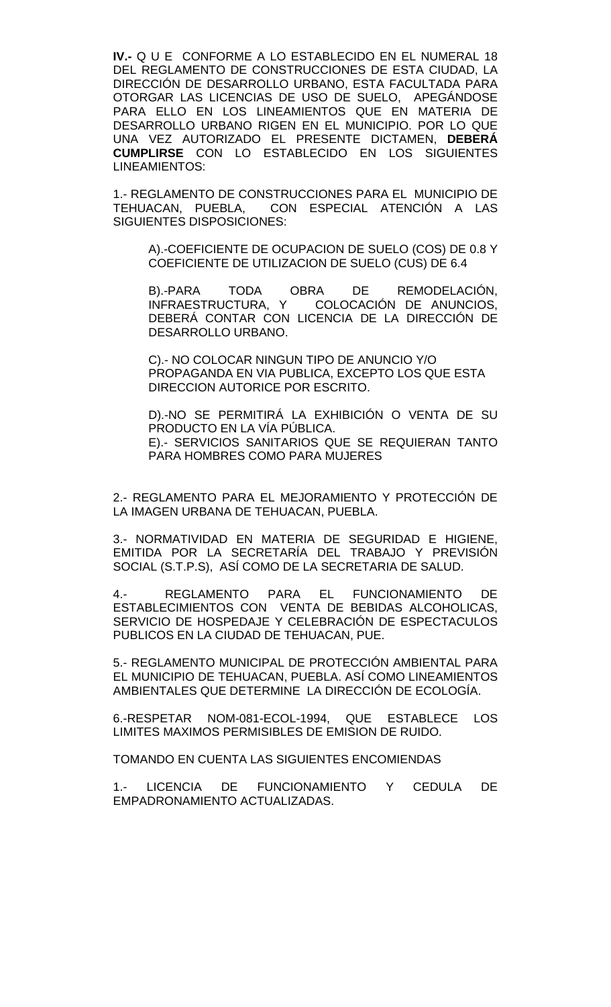**IV.-** Q U E CONFORME A LO ESTABLECIDO EN EL NUMERAL 18 DEL REGLAMENTO DE CONSTRUCCIONES DE ESTA CIUDAD, LA DIRECCIÓN DE DESARROLLO URBANO, ESTA FACULTADA PARA OTORGAR LAS LICENCIAS DE USO DE SUELO, APEGÁNDOSE PARA ELLO EN LOS LINEAMIENTOS QUE EN MATERIA DE DESARROLLO URBANO RIGEN EN EL MUNICIPIO. POR LO QUE UNA VEZ AUTORIZADO EL PRESENTE DICTAMEN, **DEBERÁ CUMPLIRSE** CON LO ESTABLECIDO EN LOS SIGUIENTES LINEAMIENTOS:

1.- REGLAMENTO DE CONSTRUCCIONES PARA EL MUNICIPIO DE TEHUACAN, PUEBLA, CON ESPECIAL ATENCIÓN A LAS SIGUIENTES DISPOSICIONES:

A).-COEFICIENTE DE OCUPACION DE SUELO (COS) DE 0.8 Y COEFICIENTE DE UTILIZACION DE SUELO (CUS) DE 6.4

B).-PARA TODA OBRA DE REMODELACIÓN,<br>INFRAESTRUCTURA, Y COLOCACIÓN DE ANUNCIOS, COLOCACIÓN DE ANUNCIOS, DEBERÁ CONTAR CON LICENCIA DE LA DIRECCIÓN DE DESARROLLO URBANO.

C).- NO COLOCAR NINGUN TIPO DE ANUNCIO Y/O PROPAGANDA EN VIA PUBLICA, EXCEPTO LOS QUE ESTA DIRECCION AUTORICE POR ESCRITO.

D).-NO SE PERMITIRÁ LA EXHIBICIÓN O VENTA DE SU PRODUCTO EN LA VÍA PÚBLICA. E).- SERVICIOS SANITARIOS QUE SE REQUIERAN TANTO PARA HOMBRES COMO PARA MUJERES

2.- REGLAMENTO PARA EL MEJORAMIENTO Y PROTECCIÓN DE LA IMAGEN URBANA DE TEHUACAN, PUEBLA.

3.- NORMATIVIDAD EN MATERIA DE SEGURIDAD E HIGIENE, EMITIDA POR LA SECRETARÍA DEL TRABAJO Y PREVISIÓN SOCIAL (S.T.P.S), ASÍ COMO DE LA SECRETARIA DE SALUD.

4.- REGLAMENTO PARA EL FUNCIONAMIENTO DE ESTABLECIMIENTOS CON VENTA DE BEBIDAS ALCOHOLICAS, SERVICIO DE HOSPEDAJE Y CELEBRACIÓN DE ESPECTACULOS PUBLICOS EN LA CIUDAD DE TEHUACAN, PUE.

5.- REGLAMENTO MUNICIPAL DE PROTECCIÓN AMBIENTAL PARA EL MUNICIPIO DE TEHUACAN, PUEBLA. ASÍ COMO LINEAMIENTOS AMBIENTALES QUE DETERMINE LA DIRECCIÓN DE ECOLOGÍA.

6.-RESPETAR NOM-081-ECOL-1994, QUE ESTABLECE LOS LIMITES MAXIMOS PERMISIBLES DE EMISION DE RUIDO.

TOMANDO EN CUENTA LAS SIGUIENTES ENCOMIENDAS

1.- LICENCIA DE FUNCIONAMIENTO Y CEDULA DE EMPADRONAMIENTO ACTUALIZADAS.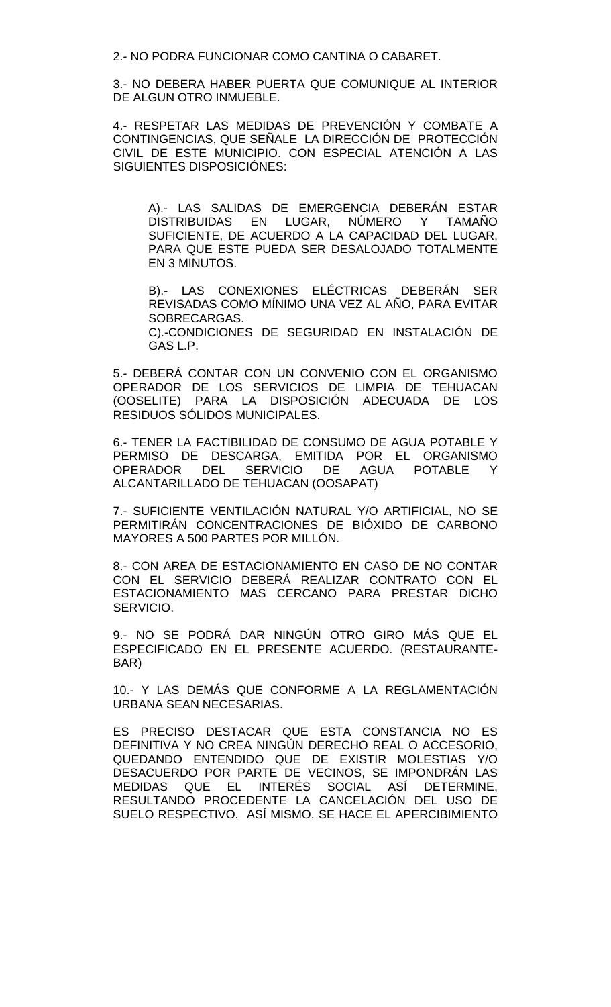2.- NO PODRA FUNCIONAR COMO CANTINA O CABARET.

3.- NO DEBERA HABER PUERTA QUE COMUNIQUE AL INTERIOR DE ALGUN OTRO INMUEBLE.

4.- RESPETAR LAS MEDIDAS DE PREVENCIÓN Y COMBATE A CONTINGENCIAS, QUE SEÑALE LA DIRECCIÓN DE PROTECCIÓN CIVIL DE ESTE MUNICIPIO. CON ESPECIAL ATENCIÓN A LAS SIGUIENTES DISPOSICIÓNES:

A).- LAS SALIDAS DE EMERGENCIA DEBERÁN ESTAR DISTRIBUIDAS EN LUGAR, NUMERO Y TAMANO SUFICIENTE, DE ACUERDO A LA CAPACIDAD DEL LUGAR, PARA QUE ESTE PUEDA SER DESALOJADO TOTALMENTE EN 3 MINUTOS.

B).- LAS CONEXIONES ELÉCTRICAS DEBERÁN SER REVISADAS COMO MÍNIMO UNA VEZ AL AÑO, PARA EVITAR SOBRECARGAS.

C).-CONDICIONES DE SEGURIDAD EN INSTALACIÓN DE GAS L.P.

5.- DEBERÁ CONTAR CON UN CONVENIO CON EL ORGANISMO OPERADOR DE LOS SERVICIOS DE LIMPIA DE TEHUACAN (OOSELITE) PARA LA DISPOSICIÓN ADECUADA DE LOS RESIDUOS SÓLIDOS MUNICIPALES.

6.- TENER LA FACTIBILIDAD DE CONSUMO DE AGUA POTABLE Y PERMISO DE DESCARGA, EMITIDA POR EL ORGANISMO<br>OPERADOR DEL SERVICIO DE AGUA POTABLE Y DEL SERVICIO DE ALCANTARILLADO DE TEHUACAN (OOSAPAT)

7.- SUFICIENTE VENTILACIÓN NATURAL Y/O ARTIFICIAL, NO SE PERMITIRÁN CONCENTRACIONES DE BIÓXIDO DE CARBONO MAYORES A 500 PARTES POR MILLÓN.

8.- CON AREA DE ESTACIONAMIENTO EN CASO DE NO CONTAR CON EL SERVICIO DEBERÁ REALIZAR CONTRATO CON EL ESTACIONAMIENTO MAS CERCANO PARA PRESTAR DICHO SERVICIO.

9.- NO SE PODRÁ DAR NINGÚN OTRO GIRO MÁS QUE EL ESPECIFICADO EN EL PRESENTE ACUERDO. (RESTAURANTE-BAR)

10.- Y LAS DEMÁS QUE CONFORME A LA REGLAMENTACIÓN URBANA SEAN NECESARIAS.

ES PRECISO DESTACAR QUE ESTA CONSTANCIA NO ES DEFINITIVA Y NO CREA NINGÚN DERECHO REAL O ACCESORIO, QUEDANDO ENTENDIDO QUE DE EXISTIR MOLESTIAS Y/O DESACUERDO POR PARTE DE VECINOS, SE IMPONDRÁN LAS<br>MEDIDAS QUE EL INTERÉS SOCIAL ASÍ DETERMINE, MEDIDAS QUE EL INTERÉS SOCIAL ASÍ DETERMINE, RESULTANDO PROCEDENTE LA CANCELACIÓN DEL USO DE SUELO RESPECTIVO. ASÍ MISMO, SE HACE EL APERCIBIMIENTO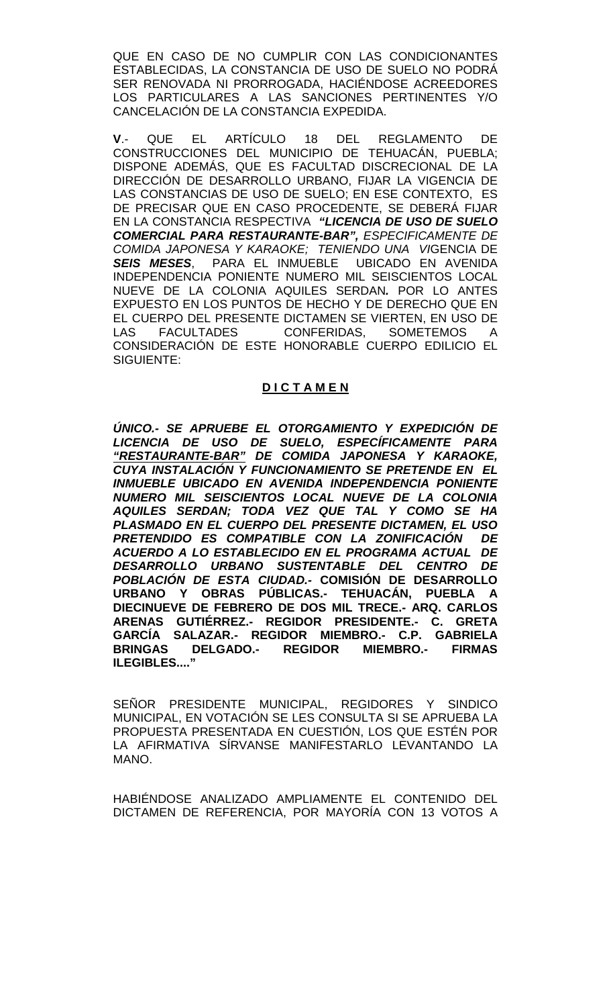QUE EN CASO DE NO CUMPLIR CON LAS CONDICIONANTES ESTABLECIDAS, LA CONSTANCIA DE USO DE SUELO NO PODRÁ SER RENOVADA NI PRORROGADA, HACIÉNDOSE ACREEDORES LOS PARTICULARES A LAS SANCIONES PERTINENTES Y/O CANCELACIÓN DE LA CONSTANCIA EXPEDIDA.

**V**.- QUE EL ARTÍCULO 18 DEL REGLAMENTO DE CONSTRUCCIONES DEL MUNICIPIO DE TEHUACÁN, PUEBLA; DISPONE ADEMÁS, QUE ES FACULTAD DISCRECIONAL DE LA DIRECCIÓN DE DESARROLLO URBANO, FIJAR LA VIGENCIA DE LAS CONSTANCIAS DE USO DE SUELO; EN ESE CONTEXTO, ES DE PRECISAR QUE EN CASO PROCEDENTE, SE DEBERÁ FIJAR EN LA CONSTANCIA RESPECTIVA *"LICENCIA DE USO DE SUELO COMERCIAL PARA RESTAURANTE-BAR", ESPECIFICAMENTE DE COMIDA JAPONESA Y KARAOKE; TENIENDO UNA VI*GENCIA DE *SEIS MESES*, PARA EL INMUEBLE UBICADO EN AVENIDA INDEPENDENCIA PONIENTE NUMERO MIL SEISCIENTOS LOCAL NUEVE DE LA COLONIA AQUILES SERDAN*.* POR LO ANTES EXPUESTO EN LOS PUNTOS DE HECHO Y DE DERECHO QUE EN EL CUERPO DEL PRESENTE DICTAMEN SE VIERTEN, EN USO DE LAS FACULTADES CONFERIDAS, SOMETEMOS A CONSIDERACIÓN DE ESTE HONORABLE CUERPO EDILICIO EL SIGUIENTE:

## **D I C T A M E N**

*ÚNICO.- SE APRUEBE EL OTORGAMIENTO Y EXPEDICIÓN DE LICENCIA DE USO DE SUELO, ESPECÍFICAMENTE PARA "RESTAURANTE-BAR" DE COMIDA JAPONESA Y KARAOKE, CUYA INSTALACIÓN Y FUNCIONAMIENTO SE PRETENDE EN EL INMUEBLE UBICADO EN AVENIDA INDEPENDENCIA PONIENTE NUMERO MIL SEISCIENTOS LOCAL NUEVE DE LA COLONIA AQUILES SERDAN; TODA VEZ QUE TAL Y COMO SE HA PLASMADO EN EL CUERPO DEL PRESENTE DICTAMEN, EL USO*  PRETENDIDO ES COMPATIBLE CON LA ZONIFICACIÓN *ACUERDO A LO ESTABLECIDO EN EL PROGRAMA ACTUAL DE DESARROLLO URBANO SUSTENTABLE DEL CENTRO DE POBLACIÓN DE ESTA CIUDAD.-* **COMISIÓN DE DESARROLLO URBANO Y OBRAS PÚBLICAS.- TEHUACÁN, PUEBLA A DIECINUEVE DE FEBRERO DE DOS MIL TRECE.- ARQ. CARLOS ARENAS GUTIÉRREZ.- REGIDOR PRESIDENTE.- C. GRETA GARCÍA SALAZAR.- REGIDOR MIEMBRO.- C.P. GABRIELA BRINGAS DELGADO.- REGIDOR MIEMBRO.- FIRMAS ILEGIBLES...."**

SEÑOR PRESIDENTE MUNICIPAL, REGIDORES Y SINDICO MUNICIPAL, EN VOTACIÓN SE LES CONSULTA SI SE APRUEBA LA PROPUESTA PRESENTADA EN CUESTIÓN, LOS QUE ESTÉN POR LA AFIRMATIVA SÍRVANSE MANIFESTARLO LEVANTANDO LA MANO.

HABIÉNDOSE ANALIZADO AMPLIAMENTE EL CONTENIDO DEL DICTAMEN DE REFERENCIA, POR MAYORÍA CON 13 VOTOS A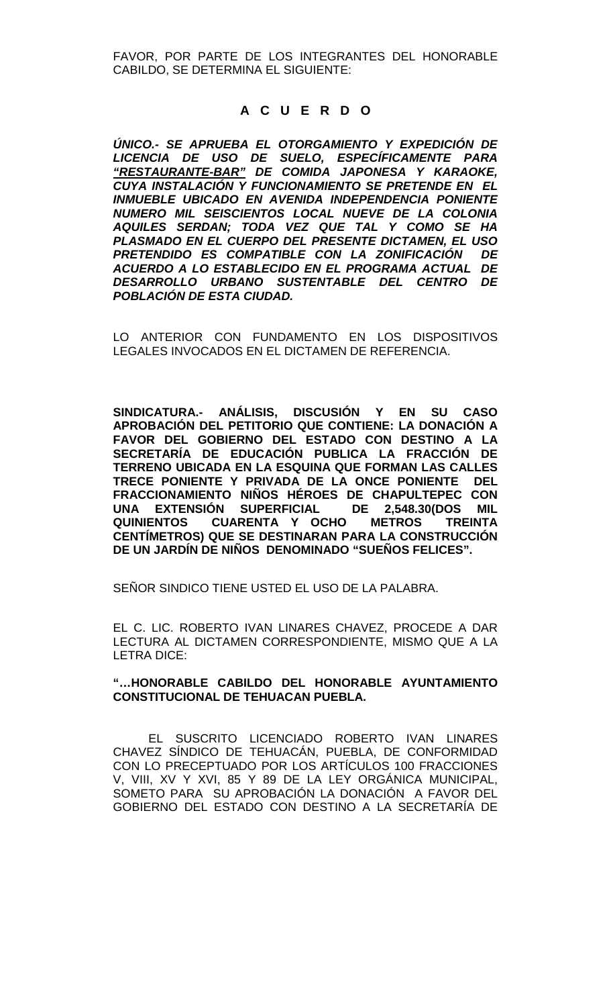FAVOR, POR PARTE DE LOS INTEGRANTES DEL HONORABLE CABILDO, SE DETERMINA EL SIGUIENTE:

## **A C U E R D O**

*ÚNICO.- SE APRUEBA EL OTORGAMIENTO Y EXPEDICIÓN DE LICENCIA DE USO DE SUELO, ESPECÍFICAMENTE PARA "RESTAURANTE-BAR" DE COMIDA JAPONESA Y KARAOKE, CUYA INSTALACIÓN Y FUNCIONAMIENTO SE PRETENDE EN EL INMUEBLE UBICADO EN AVENIDA INDEPENDENCIA PONIENTE NUMERO MIL SEISCIENTOS LOCAL NUEVE DE LA COLONIA AQUILES SERDAN; TODA VEZ QUE TAL Y COMO SE HA PLASMADO EN EL CUERPO DEL PRESENTE DICTAMEN, EL USO PRETENDIDO ES COMPATIBLE CON LA ZONIFICACIÓN DE ACUERDO A LO ESTABLECIDO EN EL PROGRAMA ACTUAL DE DESARROLLO URBANO SUSTENTABLE DEL CENTRO DE POBLACIÓN DE ESTA CIUDAD.* 

LO ANTERIOR CON FUNDAMENTO EN LOS DISPOSITIVOS LEGALES INVOCADOS EN EL DICTAMEN DE REFERENCIA.

**SINDICATURA.- ANÁLISIS, DISCUSIÓN Y EN SU CASO APROBACIÓN DEL PETITORIO QUE CONTIENE: LA DONACIÓN A FAVOR DEL GOBIERNO DEL ESTADO CON DESTINO A LA SECRETARÍA DE EDUCACIÓN PUBLICA LA FRACCIÓN DE TERRENO UBICADA EN LA ESQUINA QUE FORMAN LAS CALLES TRECE PONIENTE Y PRIVADA DE LA ONCE PONIENTE DEL FRACCIONAMIENTO NIÑOS HÉROES DE CHAPULTEPEC CON UNA EXTENSIÓN SUPERFICIAL QUINIENTOS CUARENTA Y OCHO METROS TREINTA CENTÍMETROS) QUE SE DESTINARAN PARA LA CONSTRUCCIÓN DE UN JARDÍN DE NIÑOS DENOMINADO "SUEÑOS FELICES".** 

SEÑOR SINDICO TIENE USTED EL USO DE LA PALABRA.

EL C. LIC. ROBERTO IVAN LINARES CHAVEZ, PROCEDE A DAR LECTURA AL DICTAMEN CORRESPONDIENTE, MISMO QUE A LA LETRA DICE:

#### **"…HONORABLE CABILDO DEL HONORABLE AYUNTAMIENTO CONSTITUCIONAL DE TEHUACAN PUEBLA.**

EL SUSCRITO LICENCIADO ROBERTO IVAN LINARES CHAVEZ SÍNDICO DE TEHUACÁN, PUEBLA, DE CONFORMIDAD CON LO PRECEPTUADO POR LOS ARTÍCULOS 100 FRACCIONES V, VIII, XV Y XVI, 85 Y 89 DE LA LEY ORGÁNICA MUNICIPAL, SOMETO PARA SU APROBACIÓN LA DONACIÓN A FAVOR DEL GOBIERNO DEL ESTADO CON DESTINO A LA SECRETARÍA DE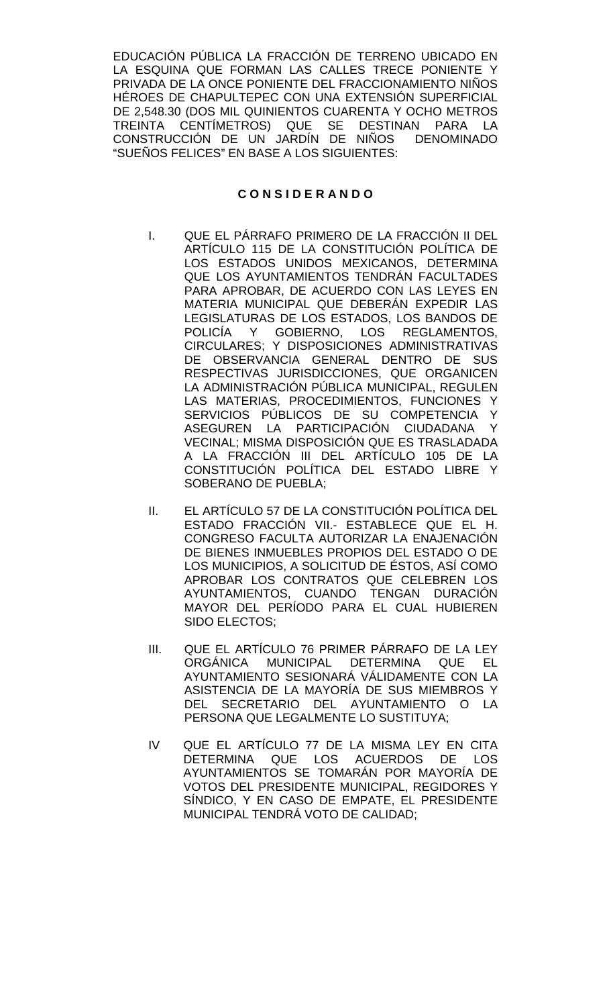EDUCACIÓN PÚBLICA LA FRACCIÓN DE TERRENO UBICADO EN LA ESQUINA QUE FORMAN LAS CALLES TRECE PONIENTE Y PRIVADA DE LA ONCE PONIENTE DEL FRACCIONAMIENTO NIÑOS HÉROES DE CHAPULTEPEC CON UNA EXTENSIÓN SUPERFICIAL DE 2,548.30 (DOS MIL QUINIENTOS CUARENTA Y OCHO METROS TREINTA CENTÍMETROS) QUE SE DESTINAN PARA LA<br>CONSTRUCCIÓN DE UN JARDÍN DE NIÑOS DENOMINADO CONSTRUCCIÓN DE UN JARDÍN DE NIÑOS "SUEÑOS FELICES" EN BASE A LOS SIGUIENTES:

#### **C O N S I D E R A N D O**

- I. QUE EL PÁRRAFO PRIMERO DE LA FRACCIÓN II DEL ARTÍCULO 115 DE LA CONSTITUCIÓN POLÍTICA DE LOS ESTADOS UNIDOS MEXICANOS, DETERMINA QUE LOS AYUNTAMIENTOS TENDRÁN FACULTADES PARA APROBAR, DE ACUERDO CON LAS LEYES EN MATERIA MUNICIPAL QUE DEBERÁN EXPEDIR LAS LEGISLATURAS DE LOS ESTADOS, LOS BANDOS DE POLICÍA Y GOBIERNO, LOS REGLAMENTOS, CIRCULARES; Y DISPOSICIONES ADMINISTRATIVAS DE OBSERVANCIA GENERAL DENTRO DE SUS RESPECTIVAS JURISDICCIONES, QUE ORGANICEN LA ADMINISTRACIÓN PÚBLICA MUNICIPAL, REGULEN LAS MATERIAS, PROCEDIMIENTOS, FUNCIONES Y SERVICIOS PÚBLICOS DE SU COMPETENCIA Y ASEGUREN LA PARTICIPACIÓN CIUDADANA Y VECINAL; MISMA DISPOSICIÓN QUE ES TRASLADADA A LA FRACCIÓN III DEL ARTÍCULO 105 DE LA CONSTITUCIÓN POLÍTICA DEL ESTADO LIBRE Y SOBERANO DE PUEBLA;
- II. EL ARTÍCULO 57 DE LA CONSTITUCIÓN POLÍTICA DEL ESTADO FRACCIÓN VII.- ESTABLECE QUE EL H. CONGRESO FACULTA AUTORIZAR LA ENAJENACIÓN DE BIENES INMUEBLES PROPIOS DEL ESTADO O DE LOS MUNICIPIOS, A SOLICITUD DE ÉSTOS, ASÍ COMO APROBAR LOS CONTRATOS QUE CELEBREN LOS AYUNTAMIENTOS, CUANDO TENGAN DURACIÓN MAYOR DEL PERÍODO PARA EL CUAL HUBIEREN SIDO ELECTOS;
- III. QUE EL ARTÍCULO 76 PRIMER PÁRRAFO DE LA LEY ORGÁNICA MUNICIPAL DETERMINA QUE EL AYUNTAMIENTO SESIONARÁ VÁLIDAMENTE CON LA ASISTENCIA DE LA MAYORÍA DE SUS MIEMBROS Y DEL SECRETARIO DEL AYUNTAMIENTO O LA PERSONA QUE LEGALMENTE LO SUSTITUYA;
- IV QUE EL ARTÍCULO 77 DE LA MISMA LEY EN CITA DETERMINA QUE LOS ACUERDOS DE LOS AYUNTAMIENTOS SE TOMARÁN POR MAYORÍA DE VOTOS DEL PRESIDENTE MUNICIPAL, REGIDORES Y SÍNDICO, Y EN CASO DE EMPATE, EL PRESIDENTE MUNICIPAL TENDRÁ VOTO DE CALIDAD;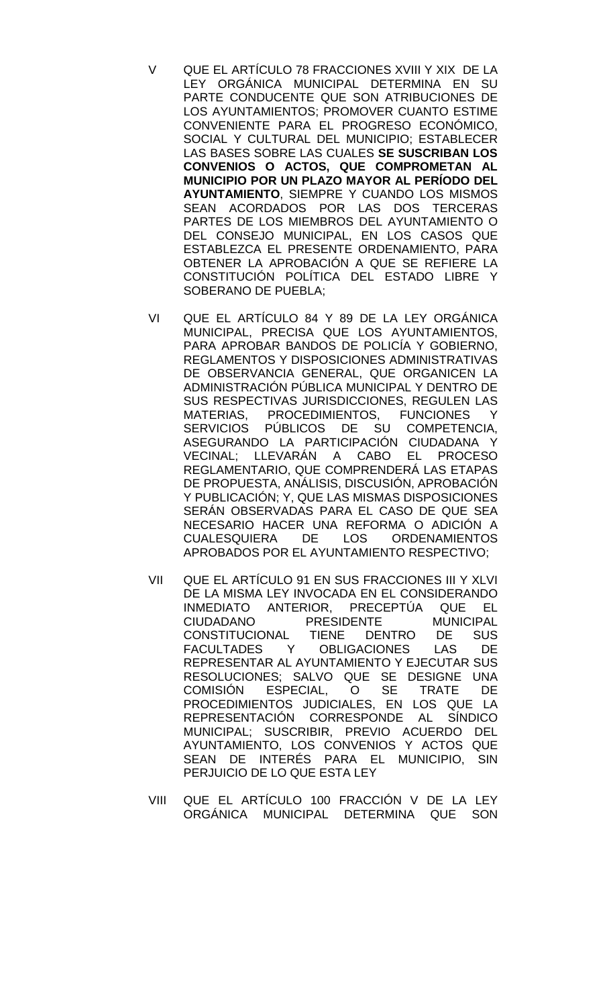- V QUE EL ARTÍCULO 78 FRACCIONES XVIII Y XIX DE LA LEY ORGÁNICA MUNICIPAL DETERMINA EN SU PARTE CONDUCENTE QUE SON ATRIBUCIONES DE LOS AYUNTAMIENTOS; PROMOVER CUANTO ESTIME CONVENIENTE PARA EL PROGRESO ECONÓMICO, SOCIAL Y CULTURAL DEL MUNICIPIO; ESTABLECER LAS BASES SOBRE LAS CUALES **SE SUSCRIBAN LOS CONVENIOS O ACTOS, QUE COMPROMETAN AL MUNICIPIO POR UN PLAZO MAYOR AL PERÍODO DEL AYUNTAMIENTO**, SIEMPRE Y CUANDO LOS MISMOS SEAN ACORDADOS POR LAS DOS TERCERAS PARTES DE LOS MIEMBROS DEL AYUNTAMIENTO O DEL CONSEJO MUNICIPAL, EN LOS CASOS QUE ESTABLEZCA EL PRESENTE ORDENAMIENTO, PARA OBTENER LA APROBACIÓN A QUE SE REFIERE LA CONSTITUCIÓN POLÍTICA DEL ESTADO LIBRE Y SOBERANO DE PUEBLA;
- VI QUE EL ARTÍCULO 84 Y 89 DE LA LEY ORGÁNICA MUNICIPAL, PRECISA QUE LOS AYUNTAMIENTOS, PARA APROBAR BANDOS DE POLICÍA Y GOBIERNO, REGLAMENTOS Y DISPOSICIONES ADMINISTRATIVAS DE OBSERVANCIA GENERAL, QUE ORGANICEN LA ADMINISTRACIÓN PÚBLICA MUNICIPAL Y DENTRO DE SUS RESPECTIVAS JURISDICCIONES, REGULEN LAS MATERIAS, PROCEDIMIENTOS, FUNCIONES Y SERVICIOS PÚBLICOS DE SU COMPETENCIA, ASEGURANDO LA PARTICIPACIÓN CIUDADANA Y VECINAL; LLEVARÁN A CABO EL PROCESO REGLAMENTARIO, QUE COMPRENDERÁ LAS ETAPAS DE PROPUESTA, ANÁLISIS, DISCUSIÓN, APROBACIÓN Y PUBLICACIÓN; Y, QUE LAS MISMAS DISPOSICIONES SERÁN OBSERVADAS PARA EL CASO DE QUE SEA NECESARIO HACER UNA REFORMA O ADICIÓN A CUALESQUIERA DE APROBADOS POR EL AYUNTAMIENTO RESPECTIVO;
- VII QUE EL ARTÍCULO 91 EN SUS FRACCIONES III Y XLVI DE LA MISMA LEY INVOCADA EN EL CONSIDERANDO<br>INMEDIATO ANTERIOR, PRECEPTÚA QUE EL INMEDIATO ANTERIOR, PRECEPTÚA QUE EL CIUDADANO PRESIDENTE MUNICIPAL<br>CONSTITUCIONAL TIENE DENTRO DE SUS CONSTITUCIONAL<br>FACULTADES Y FACULTADES Y OBLIGACIONES LAS DE REPRESENTAR AL AYUNTAMIENTO Y EJECUTAR SUS RESOLUCIONES; SALVO QUE SE DESIGNE UNA<br>COMISIÓN ESPECIAL, O SE TRATE DE COMISIÓN ESPECIAL, O SE TRATE DE PROCEDIMIENTOS JUDICIALES, EN LOS QUE LA REPRESENTACIÓN CORRESPONDE AL SÍNDICO MUNICIPAL; SUSCRIBIR, PREVIO ACUERDO DEL AYUNTAMIENTO, LOS CONVENIOS Y ACTOS QUE SEAN DE INTERÉS PARA EL MUNICIPIO, SIN PERJUICIO DE LO QUE ESTA LEY
- VIII QUE EL ARTÍCULO 100 FRACCIÓN V DE LA LEY ORGÁNICA MUNICIPAL DETERMINA QUE SON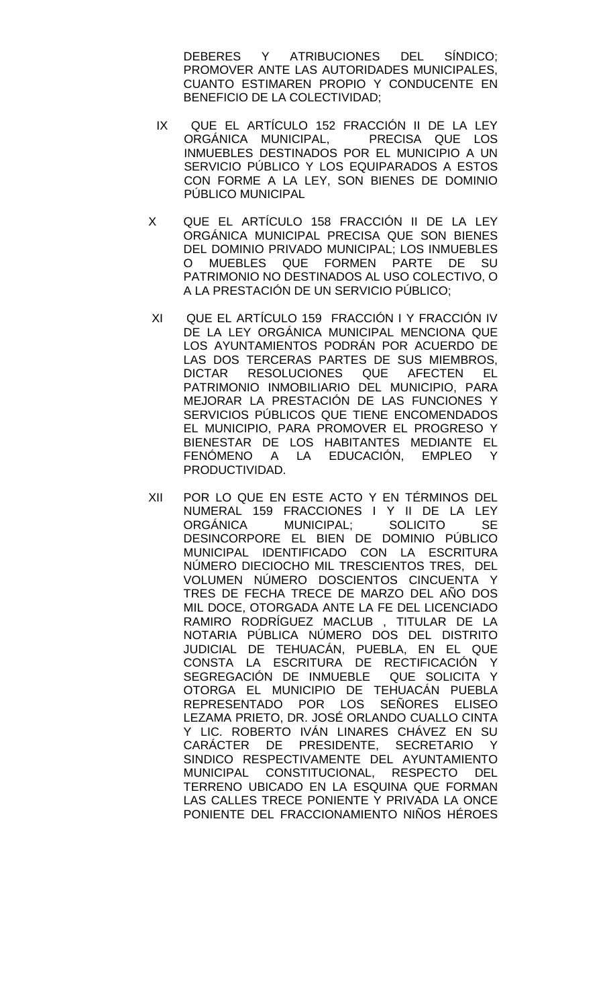DEBERES Y ATRIBUCIONES DEL SÍNDICO; PROMOVER ANTE LAS AUTORIDADES MUNICIPALES, CUANTO ESTIMAREN PROPIO Y CONDUCENTE EN BENEFICIO DE LA COLECTIVIDAD;

- IX QUE EL ARTÍCULO 152 FRACCIÓN II DE LA LEY<br>ORGÁNICA MUNICIPAL. PRECISA QUE LOS ORGÁNICA MUNICIPAL, INMUEBLES DESTINADOS POR EL MUNICIPIO A UN SERVICIO PÚBLICO Y LOS EQUIPARADOS A ESTOS CON FORME A LA LEY, SON BIENES DE DOMINIO PÚBLICO MUNICIPAL
- X QUE EL ARTÍCULO 158 FRACCIÓN II DE LA LEY ORGÁNICA MUNICIPAL PRECISA QUE SON BIENES DEL DOMINIO PRIVADO MUNICIPAL; LOS INMUEBLES<br>O MUEBLES QUE FORMEN PARTE DE SU MUEBLES QUE FORMEN PARTE DE SU PATRIMONIO NO DESTINADOS AL USO COLECTIVO, O A LA PRESTACIÓN DE UN SERVICIO PÚBLICO;
- XI QUE EL ARTÍCULO 159 FRACCIÓN I Y FRACCIÓN IV DE LA LEY ORGÁNICA MUNICIPAL MENCIONA QUE LOS AYUNTAMIENTOS PODRÁN POR ACUERDO DE LAS DOS TERCERAS PARTES DE SUS MIEMBROS, DICTAR RESOLUCIONES QUE AFECTEN EL PATRIMONIO INMOBILIARIO DEL MUNICIPIO, PARA MEJORAR LA PRESTACIÓN DE LAS FUNCIONES Y SERVICIOS PÚBLICOS QUE TIENE ENCOMENDADOS EL MUNICIPIO, PARA PROMOVER EL PROGRESO Y BIENESTAR DE LOS HABITANTES MEDIANTE EL FENÓMENO A LA EDUCACIÓN, EMPLEO Y PRODUCTIVIDAD.
- XII POR LO QUE EN ESTE ACTO Y EN TÉRMINOS DEL NUMERAL 159 FRACCIONES I Y II DE LA LEY<br>ORGÁNICA MUNICIPAL: SOLICITO SE ORGÁNICA MUNICIPAL; SOLICITO SE DESINCORPORE EL BIEN DE DOMINIO PÚBLICO MUNICIPAL IDENTIFICADO CON LA ESCRITURA NÚMERO DIECIOCHO MIL TRESCIENTOS TRES, DEL VOLUMEN NÚMERO DOSCIENTOS CINCUENTA Y TRES DE FECHA TRECE DE MARZO DEL AÑO DOS MIL DOCE, OTORGADA ANTE LA FE DEL LICENCIADO RAMIRO RODRÍGUEZ MACLUB , TITULAR DE LA NOTARIA PÚBLICA NÚMERO DOS DEL DISTRITO JUDICIAL DE TEHUACÁN, PUEBLA, EN EL QUE CONSTA LA ESCRITURA DE RECTIFICACIÓN Y SEGREGACIÓN DE INMUEBLE QUE SOLICITA Y OTORGA EL MUNICIPIO DE TEHUACÁN PUEBLA REPRESENTADO POR LOS SEÑORES ELISEO LEZAMA PRIETO, DR. JOSÉ ORLANDO CUALLO CINTA Y LIC. ROBERTO IVÁN LINARES CHÁVEZ EN SU CARÁCTER DE PRESIDENTE, SECRETARIO Y SINDICO RESPECTIVAMENTE DEL AYUNTAMIENTO MUNICIPAL CONSTITUCIONAL, RESPECTO DEL TERRENO UBICADO EN LA ESQUINA QUE FORMAN LAS CALLES TRECE PONIENTE Y PRIVADA LA ONCE PONIENTE DEL FRACCIONAMIENTO NIÑOS HÉROES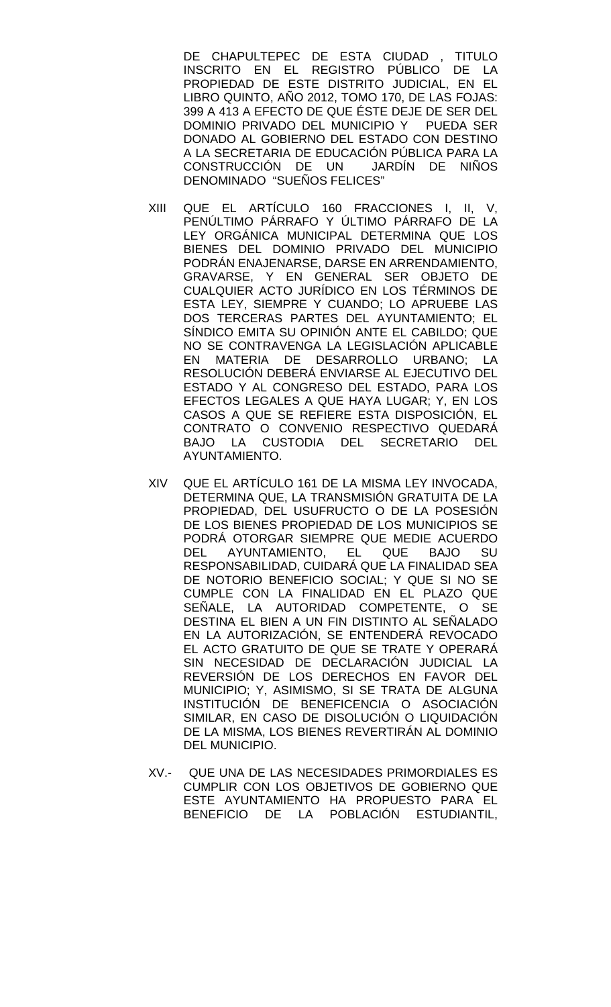DE CHAPULTEPEC DE ESTA CIUDAD , TITULO INSCRITO EN EL REGISTRO PÚBLICO DE LA PROPIEDAD DE ESTE DISTRITO JUDICIAL, EN EL LIBRO QUINTO, AÑO 2012, TOMO 170, DE LAS FOJAS: 399 A 413 A EFECTO DE QUE ÉSTE DEJE DE SER DEL DOMINIO PRIVADO DEL MUNICIPIO Y PUEDA SER DONADO AL GOBIERNO DEL ESTADO CON DESTINO A LA SECRETARIA DE EDUCACIÓN PÚBLICA PARA LA CONSTRUCCIÓN DE UN JARDÍN DE NIÑOS DENOMINADO "SUEÑOS FELICES"

- XIII QUE EL ARTÍCULO 160 FRACCIONES I, II, V, PENÚLTIMO PÁRRAFO Y ÚLTIMO PÁRRAFO DE LA LEY ORGÁNICA MUNICIPAL DETERMINA QUE LOS BIENES DEL DOMINIO PRIVADO DEL MUNICIPIO PODRÁN ENAJENARSE, DARSE EN ARRENDAMIENTO, GRAVARSE, Y EN GENERAL SER OBJETO DE CUALQUIER ACTO JURÍDICO EN LOS TÉRMINOS DE ESTA LEY, SIEMPRE Y CUANDO; LO APRUEBE LAS DOS TERCERAS PARTES DEL AYUNTAMIENTO; EL SÍNDICO EMITA SU OPINIÓN ANTE EL CABILDO; QUE NO SE CONTRAVENGA LA LEGISLACIÓN APLICABLE EN MATERIA DE DESARROLLO URBANO; LA RESOLUCIÓN DEBERÁ ENVIARSE AL EJECUTIVO DEL ESTADO Y AL CONGRESO DEL ESTADO, PARA LOS EFECTOS LEGALES A QUE HAYA LUGAR; Y, EN LOS CASOS A QUE SE REFIERE ESTA DISPOSICIÓN, EL CONTRATO O CONVENIO RESPECTIVO QUEDARÁ BAJO LA CUSTODIA DEL SECRETARIO DEL AYUNTAMIENTO.
- XIV QUE EL ARTÍCULO 161 DE LA MISMA LEY INVOCADA, DETERMINA QUE, LA TRANSMISIÓN GRATUITA DE LA PROPIEDAD, DEL USUFRUCTO O DE LA POSESIÓN DE LOS BIENES PROPIEDAD DE LOS MUNICIPIOS SE PODRÁ OTORGAR SIEMPRE QUE MEDIE ACUERDO DEL AYUNTAMIENTO, EL QUE BAJO SU RESPONSABILIDAD, CUIDARÁ QUE LA FINALIDAD SEA DE NOTORIO BENEFICIO SOCIAL; Y QUE SI NO SE CUMPLE CON LA FINALIDAD EN EL PLAZO QUE SEÑALE, LA AUTORIDAD COMPETENTE, O SE DESTINA EL BIEN A UN FIN DISTINTO AL SEÑALADO EN LA AUTORIZACIÓN, SE ENTENDERÁ REVOCADO EL ACTO GRATUITO DE QUE SE TRATE Y OPERARÁ SIN NECESIDAD DE DECLARACIÓN JUDICIAL LA REVERSIÓN DE LOS DERECHOS EN FAVOR DEL MUNICIPIO; Y, ASIMISMO, SI SE TRATA DE ALGUNA INSTITUCIÓN DE BENEFICENCIA O ASOCIACIÓN SIMILAR, EN CASO DE DISOLUCIÓN O LIQUIDACIÓN DE LA MISMA, LOS BIENES REVERTIRÁN AL DOMINIO DEL MUNICIPIO.
- XV.- QUE UNA DE LAS NECESIDADES PRIMORDIALES ES CUMPLIR CON LOS OBJETIVOS DE GOBIERNO QUE ESTE AYUNTAMIENTO HA PROPUESTO PARA EL BENEFICIO DE LA POBLACIÓN ESTUDIANTIL,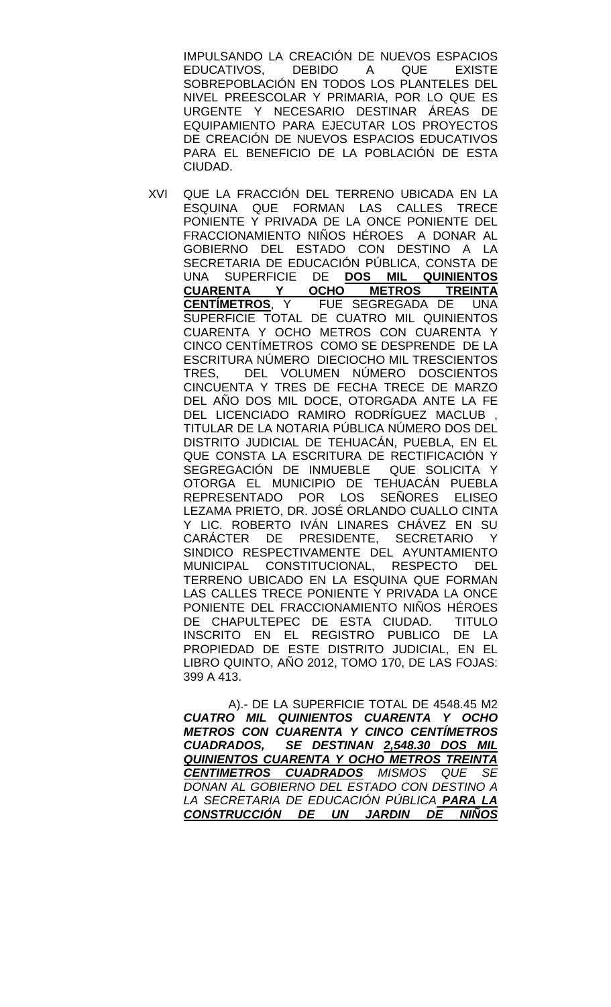IMPULSANDO LA CREACIÓN DE NUEVOS ESPACIOS<br>EDUCATIVOS. DEBIDO A QUE EXISTE DEBIDO A QUE EXISTE SOBREPOBLACIÓN EN TODOS LOS PLANTELES DEL NIVEL PREESCOLAR Y PRIMARIA, POR LO QUE ES URGENTE Y NECESARIO DESTINAR ÁREAS DE EQUIPAMIENTO PARA EJECUTAR LOS PROYECTOS DE CREACIÓN DE NUEVOS ESPACIOS EDUCATIVOS PARA EL BENEFICIO DE LA POBLACIÓN DE ESTA CIUDAD.

XVI QUE LA FRACCIÓN DEL TERRENO UBICADA EN LA ESQUINA QUE FORMAN LAS CALLES TRECE PONIENTE Y PRIVADA DE LA ONCE PONIENTE DEL FRACCIONAMIENTO NIÑOS HÉROES A DONAR AL GOBIERNO DEL ESTADO CON DESTINO A LA SECRETARIA DE EDUCACIÓN PÚBLICA, CONSTA DE UNA SUPERFICIE DE **DOS MIL QUINIENTOS CUARENTA Y OCHO METROS TREINTA CENTÍMETROS**, Y FUE SEGREGADA DE UNA SUPERFICIE TOTAL DE CUATRO MIL QUINIENTOS CUARENTA Y OCHO METROS CON CUARENTA Y CINCO CENTÍMETROS COMO SE DESPRENDE DE LA ESCRITURA NÚMERO DIECIOCHO MIL TRESCIENTOS TRES, DEL VOLUMEN NÚMERO DOSCIENTOS CINCUENTA Y TRES DE FECHA TRECE DE MARZO DEL AÑO DOS MIL DOCE, OTORGADA ANTE LA FE DEL LICENCIADO RAMIRO RODRÍGUEZ MACLUB TITULAR DE LA NOTARIA PÚBLICA NÚMERO DOS DEL DISTRITO JUDICIAL DE TEHUACÁN, PUEBLA, EN EL QUE CONSTA LA ESCRITURA DE RECTIFICACIÓN Y SEGREGACIÓN DE INMUEBLE QUE SOLICITA Y OTORGA EL MUNICIPIO DE TEHUACÁN PUEBLA REPRESENTADO POR LOS SEÑORES ELISEO LEZAMA PRIETO, DR. JOSÉ ORLANDO CUALLO CINTA Y LIC. ROBERTO IVÁN LINARES CHÁVEZ EN SU<br>CARÁCTER DE PRESIDENTE. SECRETARIO Y CARÁCTER DE PRESIDENTE, SECRETARIO SINDICO RESPECTIVAMENTE DEL AYUNTAMIENTO MUNICIPAL CONSTITUCIONAL, RESPECTO DEL TERRENO UBICADO EN LA ESQUINA QUE FORMAN LAS CALLES TRECE PONIENTE Y PRIVADA LA ONCE PONIENTE DEL FRACCIONAMIENTO NIÑOS HÉROES DE CHAPULTEPEC DE ESTA CIUDAD. TITULO INSCRITO EN EL REGISTRO PUBLICO DE LA PROPIEDAD DE ESTE DISTRITO JUDICIAL, EN EL LIBRO QUINTO, AÑO 2012, TOMO 170, DE LAS FOJAS: 399 A 413.

 A).- DE LA SUPERFICIE TOTAL DE 4548.45 M2 *CUATRO MIL QUINIENTOS CUARENTA Y OCHO METROS CON CUARENTA Y CINCO CENTÍMETROS CUADRADOS, SE DESTINAN 2,548.30 DOS MIL QUINIENTOS CUARENTA Y OCHO METROS TREINTA CENTIMETROS CUADRADOS MISMOS QUE SE DONAN AL GOBIERNO DEL ESTADO CON DESTINO A LA SECRETARIA DE EDUCACIÓN PÚBLICA PARA LA CONSTRUCCIÓN DE UN JARDIN DE NIÑOS*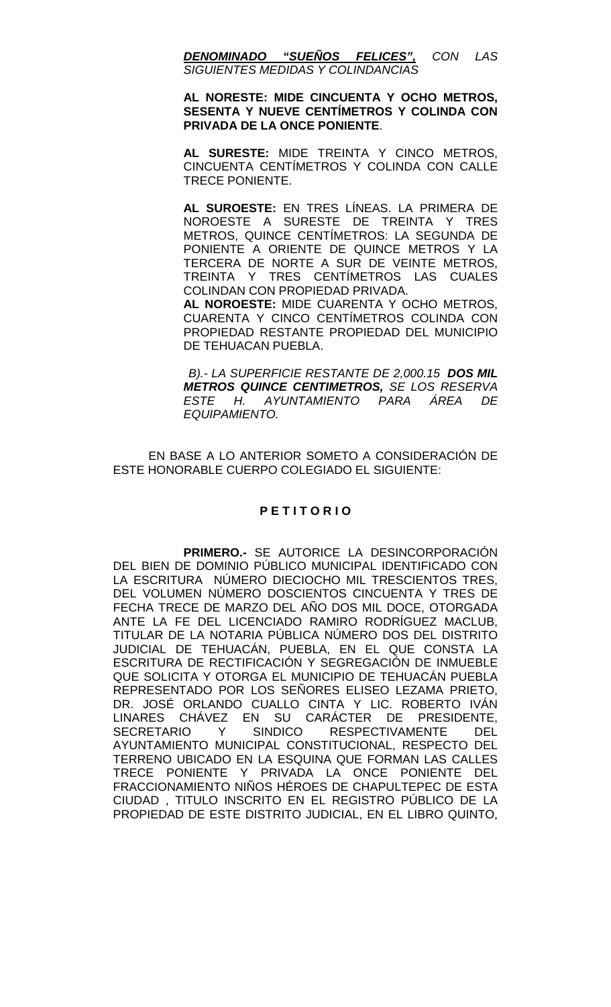*DENOMINADO "SUEÑOS FELICES", CON LAS SIGUIENTES MEDIDAS Y COLINDANCIAS* 

#### **AL NORESTE: MIDE CINCUENTA Y OCHO METROS, SESENTA Y NUEVE CENTÍMETROS Y COLINDA CON PRIVADA DE LA ONCE PONIENTE**.

**AL SURESTE:** MIDE TREINTA Y CINCO METROS, CINCUENTA CENTÍMETROS Y COLINDA CON CALLE TRECE PONIENTE.

**AL SUROESTE:** EN TRES LÍNEAS. LA PRIMERA DE NOROESTE A SURESTE DE TREINTA Y TRES METROS, QUINCE CENTÍMETROS: LA SEGUNDA DE PONIENTE A ORIENTE DE QUINCE METROS Y LA TERCERA DE NORTE A SUR DE VEINTE METROS, TREINTA Y TRES CENTÍMETROS LAS CUALES COLINDAN CON PROPIEDAD PRIVADA.

**AL NOROESTE:** MIDE CUARENTA Y OCHO METROS, CUARENTA Y CINCO CENTÍMETROS COLINDA CON PROPIEDAD RESTANTE PROPIEDAD DEL MUNICIPIO DE TEHUACAN PUEBLA.

 *B).- LA SUPERFICIE RESTANTE DE 2,000.15 DOS MIL METROS QUINCE CENTIMETROS, SE LOS RESERVA ESTE H. AYUNTAMIENTO PARA ÁREA DE EQUIPAMIENTO.*

EN BASE A LO ANTERIOR SOMETO A CONSIDERACIÓN DE ESTE HONORABLE CUERPO COLEGIADO EL SIGUIENTE:

## **P E T I T O R I O**

**PRIMERO.-** SE AUTORICE LA DESINCORPORACIÓN DEL BIEN DE DOMINIO PÚBLICO MUNICIPAL IDENTIFICADO CON LA ESCRITURA NÚMERO DIECIOCHO MIL TRESCIENTOS TRES, DEL VOLUMEN NÚMERO DOSCIENTOS CINCUENTA Y TRES DE FECHA TRECE DE MARZO DEL AÑO DOS MIL DOCE, OTORGADA ANTE LA FE DEL LICENCIADO RAMIRO RODRÍGUEZ MACLUB, TITULAR DE LA NOTARIA PÚBLICA NÚMERO DOS DEL DISTRITO JUDICIAL DE TEHUACÁN, PUEBLA, EN EL QUE CONSTA LA ESCRITURA DE RECTIFICACIÓN Y SEGREGACIÓN DE INMUEBLE QUE SOLICITA Y OTORGA EL MUNICIPIO DE TEHUACÁN PUEBLA REPRESENTADO POR LOS SEÑORES ELISEO LEZAMA PRIETO, DR. JOSÉ ORLANDO CUALLO CINTA Y LIC. ROBERTO IVÁN LINARES CHÁVEZ EN SU CARÁCTER DE PRESIDENTE, SECRETARIO Y SINDICO RESPECTIVAMENTE DEL AYUNTAMIENTO MUNICIPAL CONSTITUCIONAL, RESPECTO DEL TERRENO UBICADO EN LA ESQUINA QUE FORMAN LAS CALLES TRECE PONIENTE Y PRIVADA LA ONCE PONIENTE DEL FRACCIONAMIENTO NIÑOS HÉROES DE CHAPULTEPEC DE ESTA CIUDAD , TITULO INSCRITO EN EL REGISTRO PÚBLICO DE LA PROPIEDAD DE ESTE DISTRITO JUDICIAL, EN EL LIBRO QUINTO,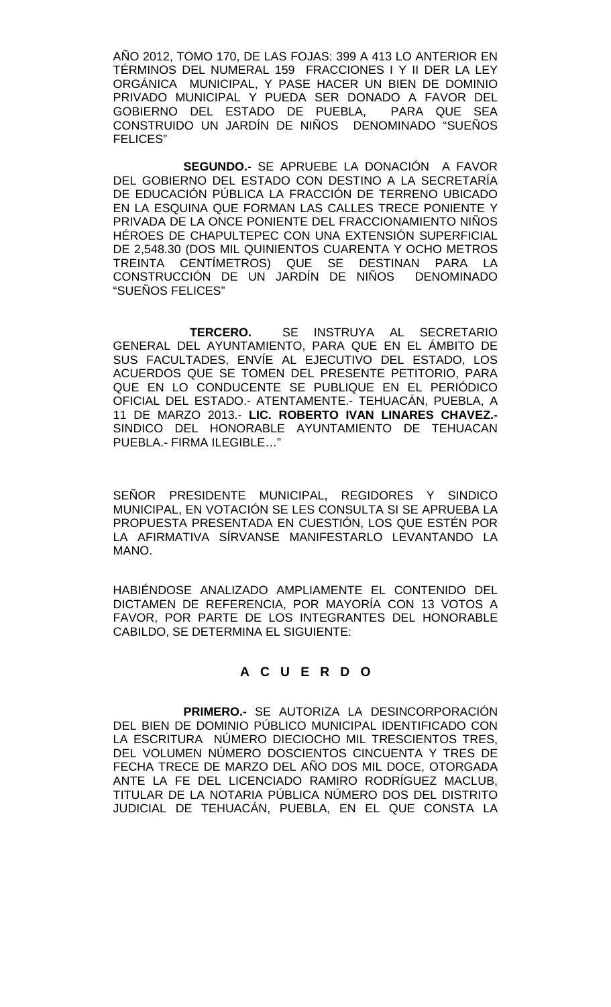AÑO 2012, TOMO 170, DE LAS FOJAS: 399 A 413 LO ANTERIOR EN TÉRMINOS DEL NUMERAL 159 FRACCIONES I Y II DER LA LEY ORGÁNICA MUNICIPAL, Y PASE HACER UN BIEN DE DOMINIO PRIVADO MUNICIPAL Y PUEDA SER DONADO A FAVOR DEL GOBIERNO DEL ESTADO DE PUEBLA, CONSTRUIDO UN JARDÍN DE NIÑOS DENOMINADO "SUEÑOS FELICES"

**SEGUNDO.**- SE APRUEBE LA DONACIÓN A FAVOR DEL GOBIERNO DEL ESTADO CON DESTINO A LA SECRETARÍA DE EDUCACIÓN PÚBLICA LA FRACCIÓN DE TERRENO UBICADO EN LA ESQUINA QUE FORMAN LAS CALLES TRECE PONIENTE Y PRIVADA DE LA ONCE PONIENTE DEL FRACCIONAMIENTO NIÑOS HÉROES DE CHAPULTEPEC CON UNA EXTENSIÓN SUPERFICIAL DE 2,548.30 (DOS MIL QUINIENTOS CUARENTA Y OCHO METROS TREINTA CENTÍMETROS) QUE SE DESTINAN PARA LA CONSTRUCCIÓN DE UN JARDÍN DE NIÑOS DENOMINADO "SUEÑOS FELICES"

 **TERCERO.** SE INSTRUYA AL SECRETARIO GENERAL DEL AYUNTAMIENTO, PARA QUE EN EL ÁMBITO DE SUS FACULTADES, ENVÍE AL EJECUTIVO DEL ESTADO, LOS ACUERDOS QUE SE TOMEN DEL PRESENTE PETITORIO, PARA QUE EN LO CONDUCENTE SE PUBLIQUE EN EL PERIÓDICO OFICIAL DEL ESTADO.- ATENTAMENTE.- TEHUACÁN, PUEBLA, A 11 DE MARZO 2013.- **LIC. ROBERTO IVAN LINARES CHAVEZ.-** SINDICO DEL HONORABLE AYUNTAMIENTO DE TEHUACAN PUEBLA.- FIRMA ILEGIBLE…"

SEÑOR PRESIDENTE MUNICIPAL, REGIDORES Y SINDICO MUNICIPAL, EN VOTACIÓN SE LES CONSULTA SI SE APRUEBA LA PROPUESTA PRESENTADA EN CUESTIÓN, LOS QUE ESTÉN POR LA AFIRMATIVA SÍRVANSE MANIFESTARLO LEVANTANDO LA MANO.

HABIÉNDOSE ANALIZADO AMPLIAMENTE EL CONTENIDO DEL DICTAMEN DE REFERENCIA, POR MAYORÍA CON 13 VOTOS A FAVOR, POR PARTE DE LOS INTEGRANTES DEL HONORABLE CABILDO, SE DETERMINA EL SIGUIENTE:

# **A C U E R D O**

**PRIMERO.-** SE AUTORIZA LA DESINCORPORACIÓN DEL BIEN DE DOMINIO PÚBLICO MUNICIPAL IDENTIFICADO CON LA ESCRITURA NÚMERO DIECIOCHO MIL TRESCIENTOS TRES, DEL VOLUMEN NÚMERO DOSCIENTOS CINCUENTA Y TRES DE FECHA TRECE DE MARZO DEL AÑO DOS MIL DOCE, OTORGADA ANTE LA FE DEL LICENCIADO RAMIRO RODRÍGUEZ MACLUB, TITULAR DE LA NOTARIA PÚBLICA NÚMERO DOS DEL DISTRITO JUDICIAL DE TEHUACÁN, PUEBLA, EN EL QUE CONSTA LA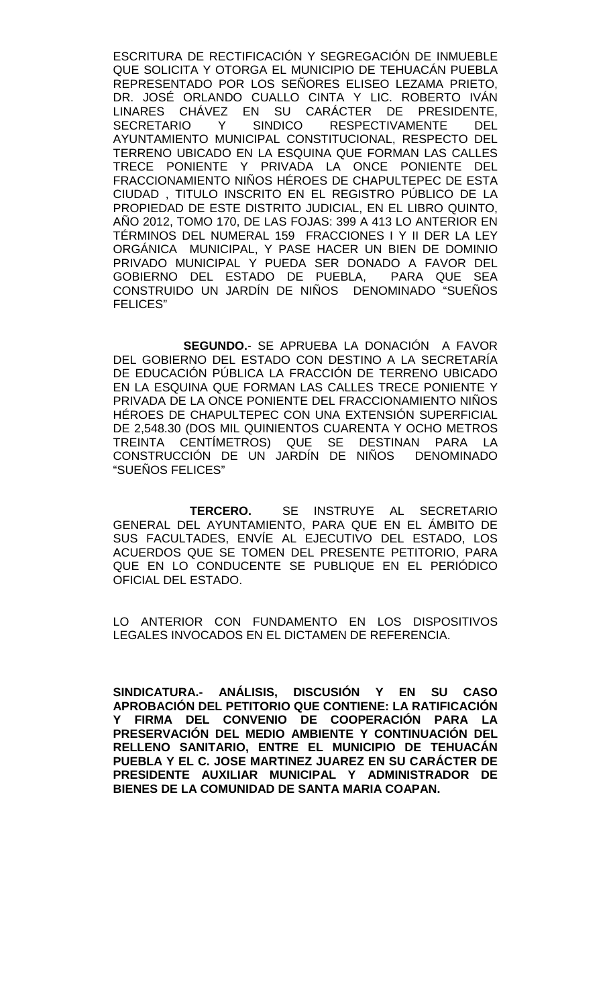ESCRITURA DE RECTIFICACIÓN Y SEGREGACIÓN DE INMUEBLE QUE SOLICITA Y OTORGA EL MUNICIPIO DE TEHUACÁN PUEBLA REPRESENTADO POR LOS SEÑORES ELISEO LEZAMA PRIETO, DR. JOSÉ ORLANDO CUALLO CINTA Y LIC. ROBERTO IVÁN LINARES CHÁVEZ EN SU CARÁCTER DE PRESIDENTE, RESPECTIVAMENTE DEL AYUNTAMIENTO MUNICIPAL CONSTITUCIONAL, RESPECTO DEL TERRENO UBICADO EN LA ESQUINA QUE FORMAN LAS CALLES TRECE PONIENTE Y PRIVADA LA ONCE PONIENTE DEL FRACCIONAMIENTO NIÑOS HÉROES DE CHAPULTEPEC DE ESTA CIUDAD , TITULO INSCRITO EN EL REGISTRO PÚBLICO DE LA PROPIEDAD DE ESTE DISTRITO JUDICIAL, EN EL LIBRO QUINTO, AÑO 2012, TOMO 170, DE LAS FOJAS: 399 A 413 LO ANTERIOR EN TÉRMINOS DEL NUMERAL 159 FRACCIONES I Y II DER LA LEY ORGÁNICA MUNICIPAL, Y PASE HACER UN BIEN DE DOMINIO PRIVADO MUNICIPAL Y PUEDA SER DONADO A FAVOR DEL GOBIERNO DEL ESTADO DE PUEBLA, PARA QUE SEA CONSTRUIDO UN JARDÍN DE NIÑOS DENOMINADO "SUEÑOS FELICES"

**SEGUNDO.**- SE APRUEBA LA DONACIÓN A FAVOR DEL GOBIERNO DEL ESTADO CON DESTINO A LA SECRETARÍA DE EDUCACIÓN PÚBLICA LA FRACCIÓN DE TERRENO UBICADO EN LA ESQUINA QUE FORMAN LAS CALLES TRECE PONIENTE Y PRIVADA DE LA ONCE PONIENTE DEL FRACCIONAMIENTO NIÑOS HÉROES DE CHAPULTEPEC CON UNA EXTENSIÓN SUPERFICIAL DE 2,548.30 (DOS MIL QUINIENTOS CUARENTA Y OCHO METROS TREINTA CENTÍMETROS) QUE SE DESTINAN PARA LA CONSTRUCCIÓN DE UN JARDÍN DE NIÑOS DENOMINADO "SUEÑOS FELICES"

 **TERCERO.** SE INSTRUYE AL SECRETARIO GENERAL DEL AYUNTAMIENTO, PARA QUE EN EL ÁMBITO DE SUS FACULTADES, ENVÍE AL EJECUTIVO DEL ESTADO, LOS ACUERDOS QUE SE TOMEN DEL PRESENTE PETITORIO, PARA QUE EN LO CONDUCENTE SE PUBLIQUE EN EL PERIÓDICO OFICIAL DEL ESTADO.

LO ANTERIOR CON FUNDAMENTO EN LOS DISPOSITIVOS LEGALES INVOCADOS EN EL DICTAMEN DE REFERENCIA.

**SINDICATURA.- ANÁLISIS, DISCUSIÓN Y EN SU CASO APROBACIÓN DEL PETITORIO QUE CONTIENE: LA RATIFICACIÓN Y FIRMA DEL CONVENIO DE COOPERACIÓN PARA LA PRESERVACIÓN DEL MEDIO AMBIENTE Y CONTINUACIÓN DEL RELLENO SANITARIO, ENTRE EL MUNICIPIO DE TEHUACÁN PUEBLA Y EL C. JOSE MARTINEZ JUAREZ EN SU CARÁCTER DE PRESIDENTE AUXILIAR MUNICIPAL Y ADMINISTRADOR DE BIENES DE LA COMUNIDAD DE SANTA MARIA COAPAN.**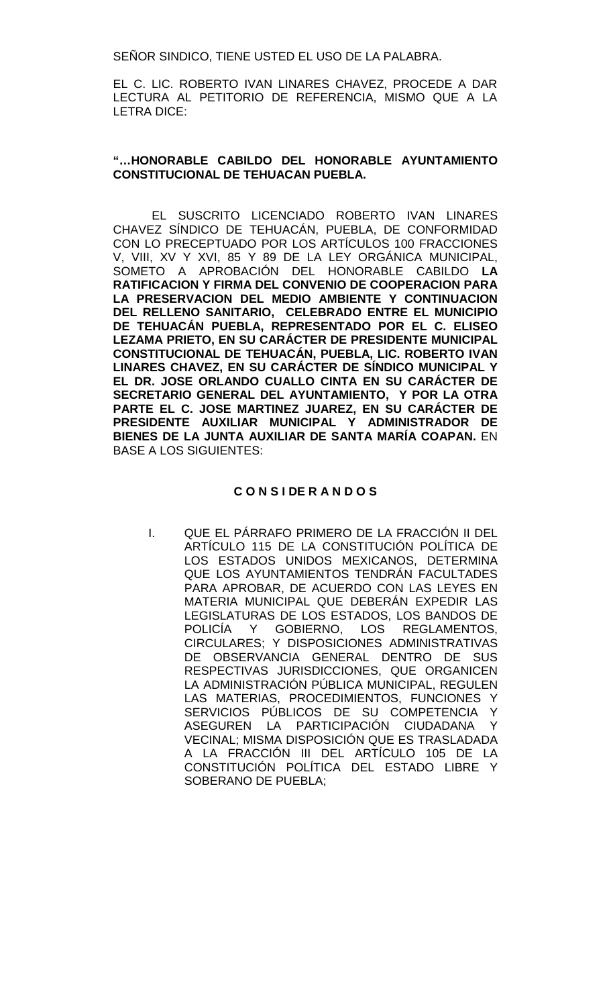SEÑOR SINDICO, TIENE USTED EL USO DE LA PALABRA.

EL C. LIC. ROBERTO IVAN LINARES CHAVEZ, PROCEDE A DAR LECTURA AL PETITORIO DE REFERENCIA, MISMO QUE A LA LETRA DICE:

#### **"…HONORABLE CABILDO DEL HONORABLE AYUNTAMIENTO CONSTITUCIONAL DE TEHUACAN PUEBLA.**

EL SUSCRITO LICENCIADO ROBERTO IVAN LINARES CHAVEZ SÍNDICO DE TEHUACÁN, PUEBLA, DE CONFORMIDAD CON LO PRECEPTUADO POR LOS ARTÍCULOS 100 FRACCIONES V, VIII, XV Y XVI, 85 Y 89 DE LA LEY ORGÁNICA MUNICIPAL, SOMETO A APROBACIÓN DEL HONORABLE CABILDO **LA RATIFICACION Y FIRMA DEL CONVENIO DE COOPERACION PARA LA PRESERVACION DEL MEDIO AMBIENTE Y CONTINUACION DEL RELLENO SANITARIO, CELEBRADO ENTRE EL MUNICIPIO DE TEHUACÁN PUEBLA, REPRESENTADO POR EL C. ELISEO LEZAMA PRIETO, EN SU CARÁCTER DE PRESIDENTE MUNICIPAL CONSTITUCIONAL DE TEHUACÁN, PUEBLA, LIC. ROBERTO IVAN LINARES CHAVEZ, EN SU CARÁCTER DE SÍNDICO MUNICIPAL Y EL DR. JOSE ORLANDO CUALLO CINTA EN SU CARÁCTER DE SECRETARIO GENERAL DEL AYUNTAMIENTO, Y POR LA OTRA PARTE EL C. JOSE MARTINEZ JUAREZ, EN SU CARÁCTER DE PRESIDENTE AUXILIAR MUNICIPAL Y ADMINISTRADOR DE BIENES DE LA JUNTA AUXILIAR DE SANTA MARÍA COAPAN.** EN BASE A LOS SIGUIENTES:

#### **C O N S I DE R A N D O S**

I. QUE EL PÁRRAFO PRIMERO DE LA FRACCIÓN II DEL ARTÍCULO 115 DE LA CONSTITUCIÓN POLÍTICA DE LOS ESTADOS UNIDOS MEXICANOS, DETERMINA QUE LOS AYUNTAMIENTOS TENDRÁN FACULTADES PARA APROBAR, DE ACUERDO CON LAS LEYES EN MATERIA MUNICIPAL QUE DEBERÁN EXPEDIR LAS LEGISLATURAS DE LOS ESTADOS, LOS BANDOS DE POLICÍA Y GOBIERNO, LOS REGLAMENTOS, CIRCULARES; Y DISPOSICIONES ADMINISTRATIVAS DE OBSERVANCIA GENERAL DENTRO DE SUS RESPECTIVAS JURISDICCIONES, QUE ORGANICEN LA ADMINISTRACIÓN PÚBLICA MUNICIPAL, REGULEN LAS MATERIAS, PROCEDIMIENTOS, FUNCIONES Y SERVICIOS PÚBLICOS DE SU COMPETENCIA Y<br>ASEGUREN LA PARTICIPACIÓN CIUDADANA Y ASEGUREN LA PARTICIPACIÓN CIUDADANA VECINAL; MISMA DISPOSICIÓN QUE ES TRASLADADA A LA FRACCIÓN III DEL ARTÍCULO 105 DE LA CONSTITUCIÓN POLÍTICA DEL ESTADO LIBRE Y SOBERANO DE PUEBLA;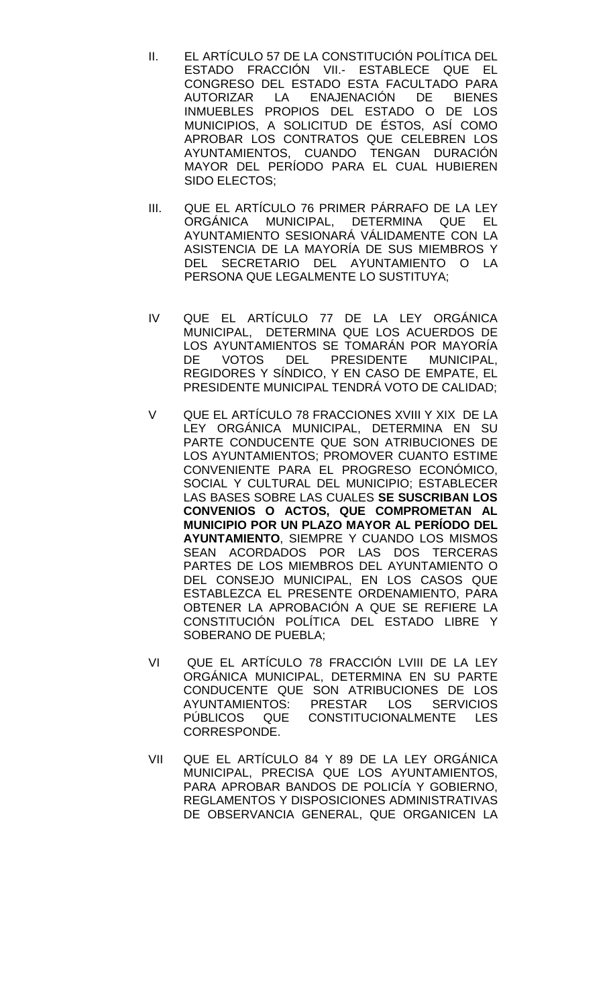- II. EL ARTÍCULO 57 DE LA CONSTITUCIÓN POLÍTICA DEL ESTADO FRACCIÓN VII.- ESTABLECE QUE EL CONGRESO DEL ESTADO ESTA FACULTADO PARA<br>AUTORIZAR LA ENAJENACIÓN DE BIENES LA ENAJENACIÓN DE BIENES INMUEBLES PROPIOS DEL ESTADO O DE LOS MUNICIPIOS, A SOLICITUD DE ÉSTOS, ASÍ COMO APROBAR LOS CONTRATOS QUE CELEBREN LOS AYUNTAMIENTOS, CUANDO TENGAN DURACIÓN MAYOR DEL PERÍODO PARA EL CUAL HUBIEREN SIDO ELECTOS;
- III. QUE EL ARTÍCULO 76 PRIMER PÁRRAFO DE LA LEY ORGÁNICA MUNICIPAL, DETERMINA QUE EL AYUNTAMIENTO SESIONARÁ VÁLIDAMENTE CON LA ASISTENCIA DE LA MAYORÍA DE SUS MIEMBROS Y DEL SECRETARIO DEL AYUNTAMIENTO O LA PERSONA QUE LEGALMENTE LO SUSTITUYA;
- IV QUE EL ARTÍCULO 77 DE LA LEY ORGÁNICA MUNICIPAL, DETERMINA QUE LOS ACUERDOS DE LOS AYUNTAMIENTOS SE TOMARÁN POR MAYORÍA DE VOTOS DEL PRESIDENTE MUNICIPAL, REGIDORES Y SÍNDICO, Y EN CASO DE EMPATE, EL PRESIDENTE MUNICIPAL TENDRÁ VOTO DE CALIDAD;
- V QUE EL ARTÍCULO 78 FRACCIONES XVIII Y XIX DE LA LEY ORGÁNICA MUNICIPAL, DETERMINA EN SU PARTE CONDUCENTE QUE SON ATRIBUCIONES DE LOS AYUNTAMIENTOS; PROMOVER CUANTO ESTIME CONVENIENTE PARA EL PROGRESO ECONÓMICO, SOCIAL Y CULTURAL DEL MUNICIPIO; ESTABLECER LAS BASES SOBRE LAS CUALES **SE SUSCRIBAN LOS CONVENIOS O ACTOS, QUE COMPROMETAN AL MUNICIPIO POR UN PLAZO MAYOR AL PERÍODO DEL AYUNTAMIENTO**, SIEMPRE Y CUANDO LOS MISMOS SEAN ACORDADOS POR LAS DOS TERCERAS PARTES DE LOS MIEMBROS DEL AYUNTAMIENTO O DEL CONSEJO MUNICIPAL, EN LOS CASOS QUE ESTABLEZCA EL PRESENTE ORDENAMIENTO, PARA OBTENER LA APROBACIÓN A QUE SE REFIERE LA CONSTITUCIÓN POLÍTICA DEL ESTADO LIBRE Y SOBERANO DE PUEBLA;
- VI QUE EL ARTÍCULO 78 FRACCIÓN LVIII DE LA LEY ORGÁNICA MUNICIPAL, DETERMINA EN SU PARTE CONDUCENTE QUE SON ATRIBUCIONES DE LOS AYUNTAMIENTOS: PRESTAR LOS SERVICIOS PÚBLICOS QUE CONSTITUCIONALMENTE LES CORRESPONDE.
- VII QUE EL ARTÍCULO 84 Y 89 DE LA LEY ORGÁNICA MUNICIPAL, PRECISA QUE LOS AYUNTAMIENTOS, PARA APROBAR BANDOS DE POLICÍA Y GOBIERNO, REGLAMENTOS Y DISPOSICIONES ADMINISTRATIVAS DE OBSERVANCIA GENERAL, QUE ORGANICEN LA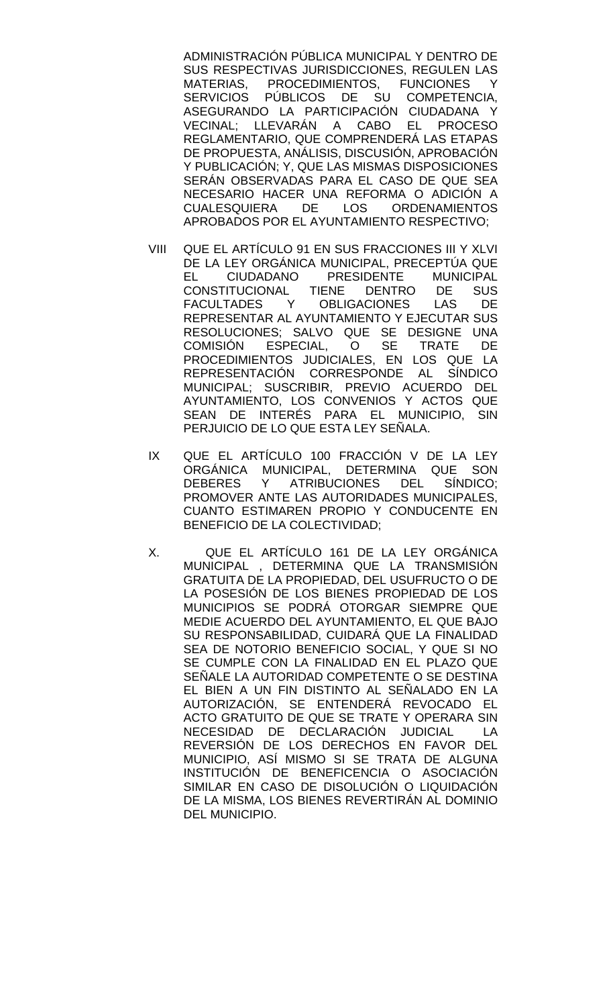ADMINISTRACIÓN PÚBLICA MUNICIPAL Y DENTRO DE SUS RESPECTIVAS JURISDICCIONES, REGULEN LAS<br>MATERIAS. PROCEDIMIENTOS. FUNCIONES Y MATERIAS, PROCEDIMIENTOS, FUNCIONES Y<br>SERVICIOS PÚBLICOS DE SU COMPETENCIA. PÚBLICOS DE SU COMPETENCIA. ASEGURANDO LA PARTICIPACIÓN CIUDADANA Y VECINAL; LLEVARÁN A CABO EL PROCESO REGLAMENTARIO, QUE COMPRENDERÁ LAS ETAPAS DE PROPUESTA, ANÁLISIS, DISCUSIÓN, APROBACIÓN Y PUBLICACIÓN; Y, QUE LAS MISMAS DISPOSICIONES SERÁN OBSERVADAS PARA EL CASO DE QUE SEA NECESARIO HACER UNA REFORMA O ADICIÓN A CUALESQUIERA DE LOS ORDENAMIENTOS APROBADOS POR EL AYUNTAMIENTO RESPECTIVO;

- VIII QUE EL ARTÍCULO 91 EN SUS FRACCIONES III Y XLVI DE LA LEY ORGÁNICA MUNICIPAL, PRECEPTÚA QUE EL CIUDADANO PRESIDENTE MUNICIPAL<br>CONSTITUCIONAL TIENE DENTRO DE SUS CONSTITUCIONAL TIENE DENTRO DE SUS<br>FACULTADES Y OBLIGACIONES LAS DE FACULTADES Y OBLIGACIONES LAS DE REPRESENTAR AL AYUNTAMIENTO Y EJECUTAR SUS RESOLUCIONES; SALVO QUE SE DESIGNE UNA<br>COMISIÓN ESPECIAL, O SE TRATE DE COMISIÓN ESPECIAL, O SE TRATE DE PROCEDIMIENTOS JUDICIALES, EN LOS QUE LA REPRESENTACIÓN CORRESPONDE AL SÍNDICO MUNICIPAL; SUSCRIBIR, PREVIO ACUERDO DEL AYUNTAMIENTO, LOS CONVENIOS Y ACTOS QUE SEAN DE INTERÉS PARA EL MUNICIPIO, SIN PERJUICIO DE LO QUE ESTA LEY SEÑALA.
- IX QUE EL ARTÍCULO 100 FRACCIÓN V DE LA LEY ORGÁNICA MUNICIPAL, DETERMINA QUE SON DEBERES Y ATRIBUCIONES DEL SÍNDICO; PROMOVER ANTE LAS AUTORIDADES MUNICIPALES, CUANTO ESTIMAREN PROPIO Y CONDUCENTE EN BENEFICIO DE LA COLECTIVIDAD;
- X. QUE EL ARTÍCULO 161 DE LA LEY ORGÁNICA MUNICIPAL , DETERMINA QUE LA TRANSMISIÓN GRATUITA DE LA PROPIEDAD, DEL USUFRUCTO O DE LA POSESIÓN DE LOS BIENES PROPIEDAD DE LOS MUNICIPIOS SE PODRÁ OTORGAR SIEMPRE QUE MEDIE ACUERDO DEL AYUNTAMIENTO, EL QUE BAJO SU RESPONSABILIDAD, CUIDARÁ QUE LA FINALIDAD SEA DE NOTORIO BENEFICIO SOCIAL, Y QUE SI NO SE CUMPLE CON LA FINALIDAD EN EL PLAZO QUE SEÑALE LA AUTORIDAD COMPETENTE O SE DESTINA EL BIEN A UN FIN DISTINTO AL SEÑALADO EN LA AUTORIZACIÓN, SE ENTENDERÁ REVOCADO EL ACTO GRATUITO DE QUE SE TRATE Y OPERARA SIN NECESIDAD DE DECLARACIÓN JUDICIAL LA REVERSIÓN DE LOS DERECHOS EN FAVOR DEL MUNICIPIO, ASÍ MISMO SI SE TRATA DE ALGUNA INSTITUCIÓN DE BENEFICENCIA O ASOCIACIÓN SIMILAR EN CASO DE DISOLUCIÓN O LIQUIDACIÓN DE LA MISMA, LOS BIENES REVERTIRÁN AL DOMINIO DEL MUNICIPIO.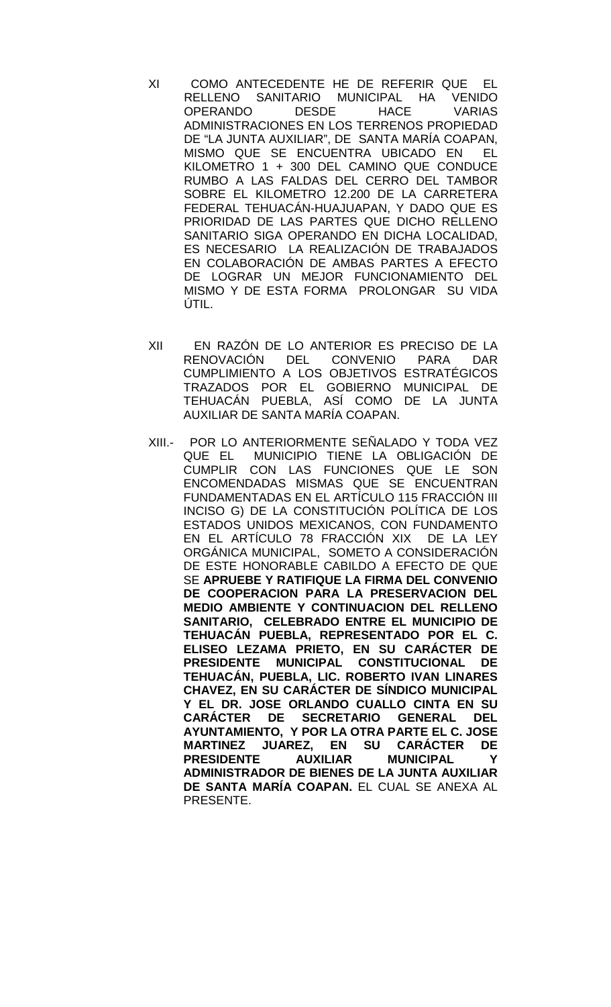- XI COMO ANTECEDENTE HE DE REFERIR QUE EL RELLENO SANITARIO MUNICIPAL HA VENIDO<br>OPERANDO DESDE HACE VARIAS OPERANDO DESDE HACE VARIAS ADMINISTRACIONES EN LOS TERRENOS PROPIEDAD DE "LA JUNTA AUXILIAR", DE SANTA MARÍA COAPAN, MISMO QUE SE ENCUENTRA UBICADO EN EL KILOMETRO 1 + 300 DEL CAMINO QUE CONDUCE RUMBO A LAS FALDAS DEL CERRO DEL TAMBOR SOBRE EL KILOMETRO 12.200 DE LA CARRETERA FEDERAL TEHUACÁN-HUAJUAPAN, Y DADO QUE ES PRIORIDAD DE LAS PARTES QUE DICHO RELLENO SANITARIO SIGA OPERANDO EN DICHA LOCALIDAD, ES NECESARIO LA REALIZACIÓN DE TRABAJADOS EN COLABORACIÓN DE AMBAS PARTES A EFECTO DE LOGRAR UN MEJOR FUNCIONAMIENTO DEL MISMO Y DE ESTA FORMA PROLONGAR SU VIDA ÚTIL.
- XII EN RAZÓN DE LO ANTERIOR ES PRECISO DE LA RENOVACIÓN DEL CONVENIO PARA DAR CUMPLIMIENTO A LOS OBJETIVOS ESTRATÉGICOS TRAZADOS POR EL GOBIERNO MUNICIPAL DE TEHUACÁN PUEBLA, ASÍ COMO DE LA JUNTA AUXILIAR DE SANTA MARÍA COAPAN.
- XIII.- POR LO ANTERIORMENTE SEÑALADO Y TODA VEZ QUE EL MUNICIPIO TIENE LA OBLIGACIÓN DE CUMPLIR CON LAS FUNCIONES QUE LE SON ENCOMENDADAS MISMAS QUE SE ENCUENTRAN FUNDAMENTADAS EN EL ARTÍCULO 115 FRACCIÓN III INCISO G) DE LA CONSTITUCIÓN POLÍTICA DE LOS ESTADOS UNIDOS MEXICANOS, CON FUNDAMENTO EN EL ARTÍCULO 78 FRACCIÓN XIX DE LA LEY ORGÁNICA MUNICIPAL, SOMETO A CONSIDERACIÓN DE ESTE HONORABLE CABILDO A EFECTO DE QUE SE **APRUEBE Y RATIFIQUE LA FIRMA DEL CONVENIO DE COOPERACION PARA LA PRESERVACION DEL MEDIO AMBIENTE Y CONTINUACION DEL RELLENO SANITARIO, CELEBRADO ENTRE EL MUNICIPIO DE TEHUACÁN PUEBLA, REPRESENTADO POR EL C. ELISEO LEZAMA PRIETO, EN SU CARÁCTER DE PRESIDENTE MUNICIPAL CONSTITUCIONAL DE TEHUACÁN, PUEBLA, LIC. ROBERTO IVAN LINARES CHAVEZ, EN SU CARÁCTER DE SÍNDICO MUNICIPAL Y EL DR. JOSE ORLANDO CUALLO CINTA EN SU CARÁCTER DE SECRETARIO GENERAL DEL AYUNTAMIENTO, Y POR LA OTRA PARTE EL C. JOSE MARTINEZ JUAREZ, EN SU CARÁCTER DE PRESIDENTE ADMINISTRADOR DE BIENES DE LA JUNTA AUXILIAR DE SANTA MARÍA COAPAN.** EL CUAL SE ANEXA AL PRESENTE.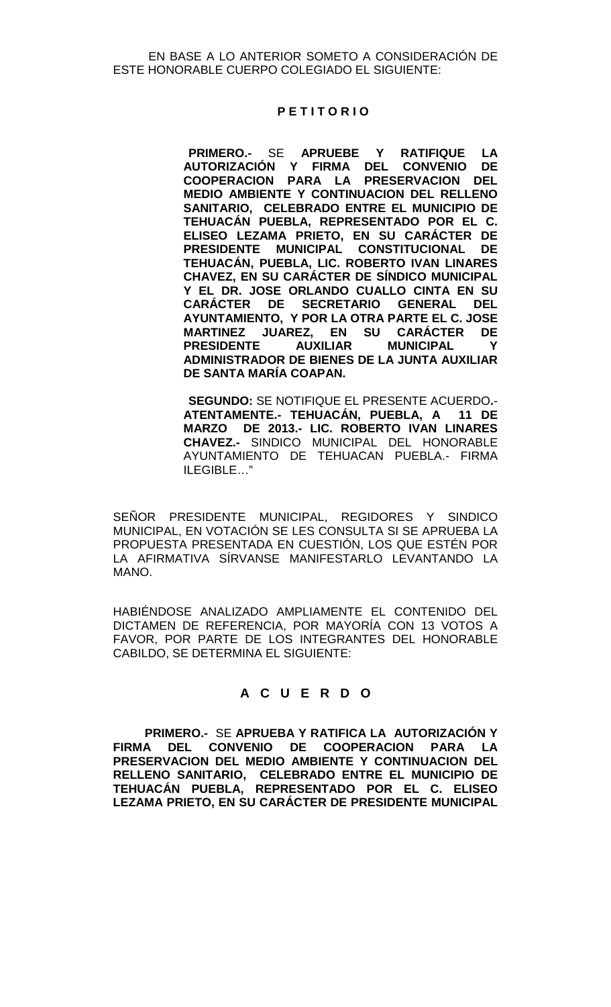EN BASE A LO ANTERIOR SOMETO A CONSIDERACIÓN DE ESTE HONORABLE CUERPO COLEGIADO EL SIGUIENTE:

#### **P E T I T O R I O**

 **PRIMERO.-** SE **APRUEBE Y RATIFIQUE LA AUTORIZACIÓN Y FIRMA DEL CONVENIO COOPERACION PARA LA PRESERVACION DEL MEDIO AMBIENTE Y CONTINUACION DEL RELLENO SANITARIO, CELEBRADO ENTRE EL MUNICIPIO DE TEHUACÁN PUEBLA, REPRESENTADO POR EL C. ELISEO LEZAMA PRIETO, EN SU CARÁCTER DE PRESIDENTE MUNICIPAL CONSTITUCIONAL DE TEHUACÁN, PUEBLA, LIC. ROBERTO IVAN LINARES CHAVEZ, EN SU CARÁCTER DE SÍNDICO MUNICIPAL Y EL DR. JOSE ORLANDO CUALLO CINTA EN SU CARÁCTER DE SECRETARIO GENERAL DEL AYUNTAMIENTO, Y POR LA OTRA PARTE EL C. JOSE MARTINEZ JUAREZ, EN SU CARÁCTER DE PRESIDENTE AUXILIAR MUNICIPAL Y ADMINISTRADOR DE BIENES DE LA JUNTA AUXILIAR DE SANTA MARÍA COAPAN.**

 **SEGUNDO:** SE NOTIFIQUE EL PRESENTE ACUERDO**.**- **ATENTAMENTE.- TEHUACÁN, PUEBLA, A 11 DE MARZO DE 2013.- LIC. ROBERTO IVAN LINARES CHAVEZ.-** SINDICO MUNICIPAL DEL HONORABLE AYUNTAMIENTO DE TEHUACAN PUEBLA.- FIRMA ILEGIBLE…"

SEÑOR PRESIDENTE MUNICIPAL, REGIDORES Y SINDICO MUNICIPAL, EN VOTACIÓN SE LES CONSULTA SI SE APRUEBA LA PROPUESTA PRESENTADA EN CUESTIÓN, LOS QUE ESTÉN POR LA AFIRMATIVA SÍRVANSE MANIFESTARLO LEVANTANDO LA MANO.

HABIÉNDOSE ANALIZADO AMPLIAMENTE EL CONTENIDO DEL DICTAMEN DE REFERENCIA, POR MAYORÍA CON 13 VOTOS A FAVOR, POR PARTE DE LOS INTEGRANTES DEL HONORABLE CABILDO, SE DETERMINA EL SIGUIENTE:

## **A C U E R D O**

 **PRIMERO.-** SE **APRUEBA Y RATIFICA LA AUTORIZACIÓN Y FIRMA DEL CONVENIO DE COOPERACION PARA LA PRESERVACION DEL MEDIO AMBIENTE Y CONTINUACION DEL RELLENO SANITARIO, CELEBRADO ENTRE EL MUNICIPIO DE TEHUACÁN PUEBLA, REPRESENTADO POR EL C. ELISEO LEZAMA PRIETO, EN SU CARÁCTER DE PRESIDENTE MUNICIPAL**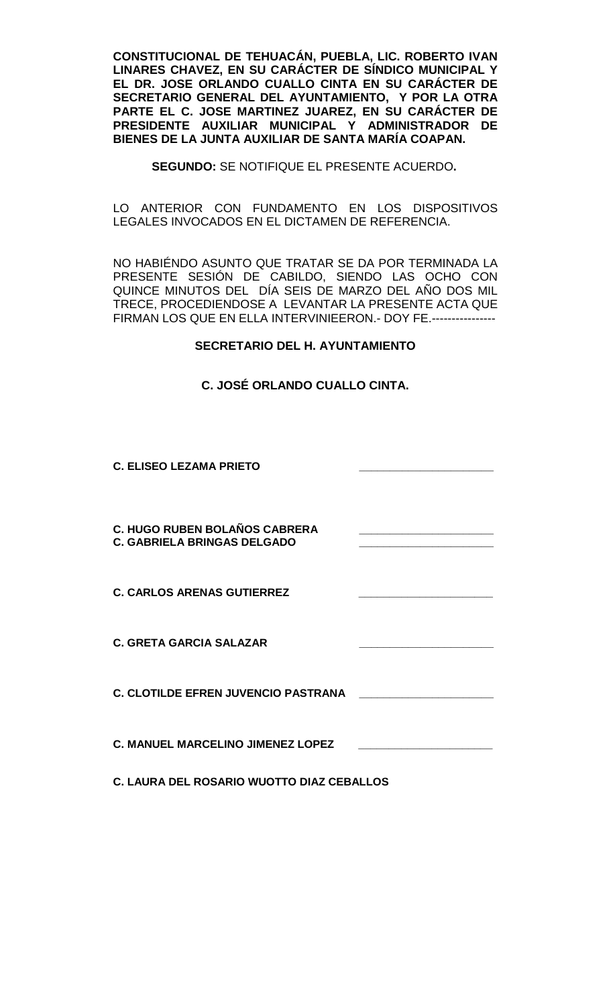**CONSTITUCIONAL DE TEHUACÁN, PUEBLA, LIC. ROBERTO IVAN LINARES CHAVEZ, EN SU CARÁCTER DE SÍNDICO MUNICIPAL Y EL DR. JOSE ORLANDO CUALLO CINTA EN SU CARÁCTER DE SECRETARIO GENERAL DEL AYUNTAMIENTO, Y POR LA OTRA PARTE EL C. JOSE MARTINEZ JUAREZ, EN SU CARÁCTER DE PRESIDENTE AUXILIAR MUNICIPAL Y ADMINISTRADOR DE BIENES DE LA JUNTA AUXILIAR DE SANTA MARÍA COAPAN.**

**SEGUNDO:** SE NOTIFIQUE EL PRESENTE ACUERDO**.**

LO ANTERIOR CON FUNDAMENTO EN LOS DISPOSITIVOS LEGALES INVOCADOS EN EL DICTAMEN DE REFERENCIA.

NO HABIÉNDO ASUNTO QUE TRATAR SE DA POR TERMINADA LA PRESENTE SESIÓN DE CABILDO, SIENDO LAS OCHO CON QUINCE MINUTOS DEL DÍA SEIS DE MARZO DEL AÑO DOS MIL TRECE, PROCEDIENDOSE A LEVANTAR LA PRESENTE ACTA QUE FIRMAN LOS QUE EN ELLA INTERVINIEERON.- DOY FE.----------------

### **SECRETARIO DEL H. AYUNTAMIENTO**

## **C. JOSÉ ORLANDO CUALLO CINTA.**

**C. ELISEO LEZAMA PRIETO \_\_\_\_\_\_\_\_\_\_\_\_\_\_\_\_\_\_\_\_\_\_**

**C. HUGO RUBEN BOLAÑOS CABRERA \_\_\_\_\_\_\_\_\_\_\_\_\_\_\_\_\_\_\_\_\_\_ C. GABRIELA BRINGAS DELGADO \_\_\_\_\_\_\_\_\_\_\_\_\_\_\_\_\_\_\_\_\_\_**

**C. CARLOS ARENAS GUTIERREZ \_\_\_\_\_\_\_\_\_\_\_\_\_\_\_\_\_\_\_\_\_\_**

**C. GRETA GARCIA SALAZAR \_\_\_\_\_\_\_\_\_\_\_\_\_\_\_\_\_\_\_\_\_\_**

**C. CLOTILDE EFREN JUVENCIO PASTRANA \_\_\_\_\_\_\_\_\_\_\_\_\_\_\_\_\_\_\_\_\_\_**

**C. MANUEL MARCELINO JIMENEZ LOPEZ \_\_\_\_\_\_\_\_\_\_\_\_\_\_\_\_\_\_\_\_\_\_**

**C. LAURA DEL ROSARIO WUOTTO DIAZ CEBALLOS**